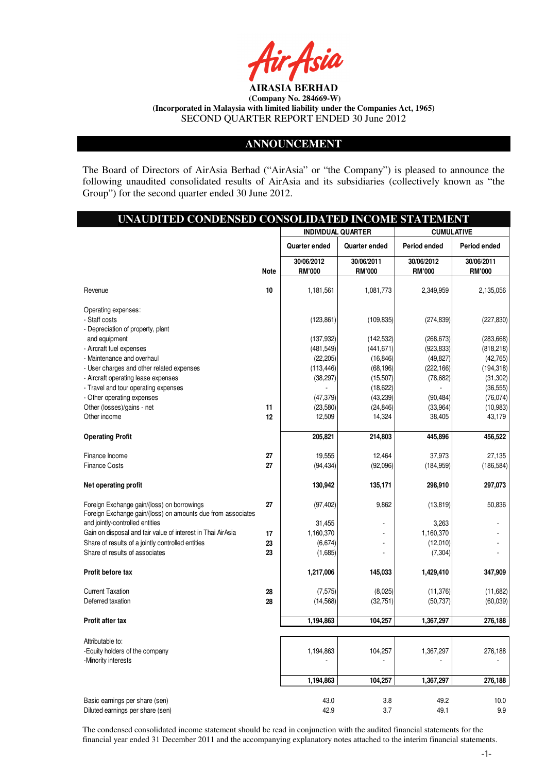

#### **ANNOUNCEMENT**

The Board of Directors of AirAsia Berhad ("AirAsia" or "the Company") is pleased to announce the following unaudited consolidated results of AirAsia and its subsidiaries (collectively known as "the Group") for the second quarter ended 30 June 2012.

|                                                                                                           | UNAUDITED CONDENSED CONSOLIDATED INCOME STATEMENT |                             |                             |                             |                             |  |
|-----------------------------------------------------------------------------------------------------------|---------------------------------------------------|-----------------------------|-----------------------------|-----------------------------|-----------------------------|--|
|                                                                                                           | <b>INDIVIDUAL QUARTER</b><br><b>CUMULATIVE</b>    |                             |                             |                             |                             |  |
|                                                                                                           |                                                   | Quarter ended               | Quarter ended               | Period ended                | Period ended                |  |
|                                                                                                           | <b>Note</b>                                       | 30/06/2012<br><b>RM'000</b> | 30/06/2011<br><b>RM'000</b> | 30/06/2012<br><b>RM'000</b> | 30/06/2011<br><b>RM'000</b> |  |
| Revenue                                                                                                   | 10                                                | 1,181,561                   | 1,081,773                   | 2,349,959                   | 2,135,056                   |  |
| Operating expenses:                                                                                       |                                                   |                             |                             |                             |                             |  |
| - Staff costs                                                                                             |                                                   | (123, 861)                  | (109, 835)                  | (274, 839)                  | (227, 830)                  |  |
| - Depreciation of property, plant                                                                         |                                                   |                             |                             |                             |                             |  |
| and equipment                                                                                             |                                                   | (137,932)                   | (142, 532)                  | (268, 673)                  | (283, 668)                  |  |
| - Aircraft fuel expenses                                                                                  |                                                   | (481, 549)                  | (441, 671)                  | (923, 833)                  | (818, 218)                  |  |
| - Maintenance and overhaul                                                                                |                                                   | (22, 205)                   | (16, 846)                   | (49, 827)                   | (42, 765)                   |  |
| - User charges and other related expenses                                                                 |                                                   | (113, 446)                  | (68, 196)                   | (222, 166)                  | (194, 318)                  |  |
| - Aircraft operating lease expenses                                                                       |                                                   | (38, 297)                   | (15,507)                    | (78, 682)                   | (31, 302)                   |  |
| - Travel and tour operating expenses                                                                      |                                                   | (47, 379)                   | (18, 622)                   | (90, 484)                   | (36, 555)                   |  |
| - Other operating expenses<br>Other (losses)/gains - net                                                  | 11                                                | (23,580)                    | (43,239)<br>(24, 846)       | (33,964)                    | (76, 074)<br>(10, 983)      |  |
| Other income                                                                                              | 12                                                | 12,509                      | 14,324                      | 38,405                      | 43,179                      |  |
|                                                                                                           |                                                   |                             |                             |                             |                             |  |
| <b>Operating Profit</b>                                                                                   |                                                   | 205,821                     | 214,803                     | 445,896                     | 456,522                     |  |
| Finance Income                                                                                            | 27                                                | 19,555                      | 12,464                      | 37,973                      | 27,135                      |  |
| <b>Finance Costs</b>                                                                                      | 27                                                | (94, 434)                   | (92,096)                    | (184, 959)                  | (186, 584)                  |  |
| Net operating profit                                                                                      |                                                   | 130,942                     | 135,171                     | 298,910                     | 297,073                     |  |
| Foreign Exchange gain/(loss) on borrowings<br>Foreign Exchange gain/(loss) on amounts due from associates | 27                                                | (97, 402)                   | 9,862                       | (13, 819)                   | 50,836                      |  |
| and jointly-controlled entities                                                                           |                                                   | 31,455                      |                             | 3,263                       |                             |  |
| Gain on disposal and fair value of interest in Thai AirAsia                                               | 17                                                | 1,160,370                   |                             | 1,160,370                   |                             |  |
| Share of results of a jointly controlled entities                                                         | 23                                                | (6,674)                     |                             | (12,010)                    |                             |  |
| Share of results of associates                                                                            | 23                                                | (1,685)                     |                             | (7, 304)                    |                             |  |
| Profit before tax                                                                                         |                                                   | 1,217,006                   | 145,033                     | 1,429,410                   | 347,909                     |  |
| <b>Current Taxation</b>                                                                                   | 28                                                | (7, 575)                    | (8,025)                     | (11, 376)                   | (11,682)                    |  |
| Deferred taxation                                                                                         | 28                                                | (14, 568)                   | (32, 751)                   | (50, 737)                   | (60, 039)                   |  |
| Profit after tax                                                                                          |                                                   | 1,194,863                   | 104,257                     | 1,367,297                   | 276,188                     |  |
|                                                                                                           |                                                   |                             |                             |                             |                             |  |
| Attributable to:<br>-Equity holders of the company                                                        |                                                   | 1,194,863                   | 104,257                     | 1,367,297                   | 276,188                     |  |
| -Minority interests                                                                                       |                                                   |                             |                             |                             |                             |  |
|                                                                                                           |                                                   | 1,194,863                   | 104,257                     | 1,367,297                   | 276,188                     |  |
|                                                                                                           |                                                   |                             |                             |                             |                             |  |
| Basic earnings per share (sen)                                                                            |                                                   | 43.0                        | 3.8                         | 49.2                        | 10.0                        |  |
| Diluted earnings per share (sen)                                                                          |                                                   | 42.9                        | 3.7                         | 49.1                        | $9.9\,$                     |  |

The condensed consolidated income statement should be read in conjunction with the audited financial statements for the financial year ended 31 December 2011 and the accompanying explanatory notes attached to the interim financial statements.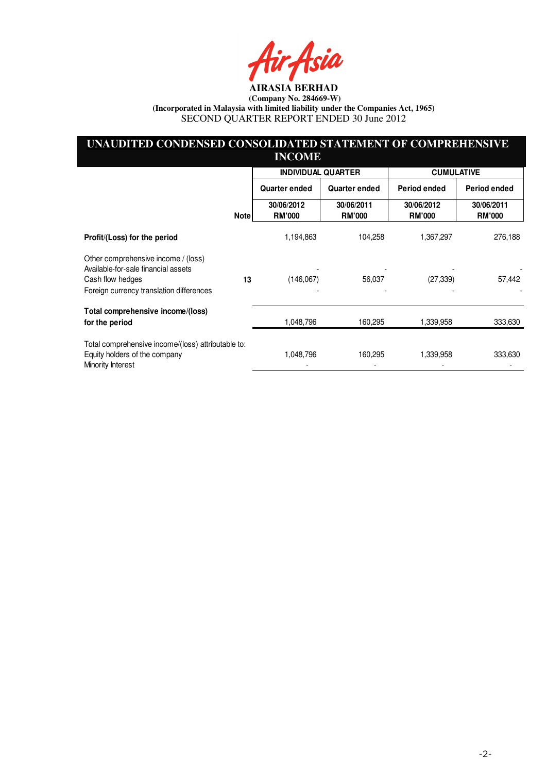Asia

## **UNAUDITED CONDENSED CONSOLIDATED STATEMENT OF COMPREHENSIVE INCOME**

|                                                                            |             | <b>INDIVIDUAL QUARTER</b>   |                             | <b>CUMULATIVE</b>           |                             |  |
|----------------------------------------------------------------------------|-------------|-----------------------------|-----------------------------|-----------------------------|-----------------------------|--|
|                                                                            |             | <b>Quarter ended</b>        | Quarter ended               | Period ended                | Period ended                |  |
|                                                                            | <b>Note</b> | 30/06/2012<br><b>RM'000</b> | 30/06/2011<br><b>RM'000</b> | 30/06/2012<br><b>RM'000</b> | 30/06/2011<br><b>RM'000</b> |  |
| Profit/(Loss) for the period                                               |             | 1,194,863                   | 104,258                     | 1,367,297                   | 276,188                     |  |
| Other comprehensive income / (loss)<br>Available-for-sale financial assets |             |                             |                             |                             |                             |  |
| Cash flow hedges                                                           | 13          | (146,067)                   | 56,037                      | (27, 339)                   | 57,442                      |  |
| Foreign currency translation differences                                   |             |                             |                             |                             |                             |  |
| Total comprehensive income/(loss)                                          |             |                             |                             |                             |                             |  |
| for the period                                                             |             | 1,048,796                   | 160,295                     | 1,339,958                   | 333,630                     |  |
| Total comprehensive income/(loss) attributable to:                         |             | 1,048,796                   | 160,295                     | 1,339,958                   |                             |  |
| Equity holders of the company<br>Minority Interest                         |             |                             |                             |                             | 333,630                     |  |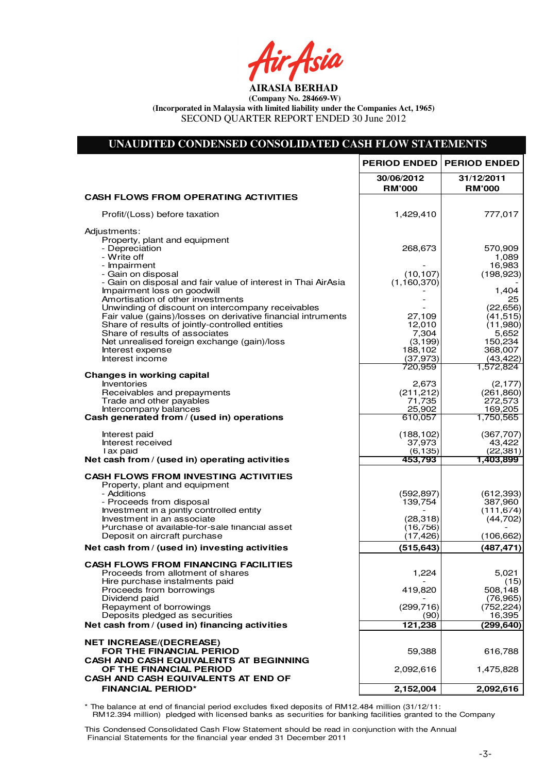fir<sub>t</sub>fsia

## **UNAUDITED CONDENSED CONSOLIDATED CASH FLOW STATEMENTS**

|                                                                                                                   | <b>PERIOD ENDED</b>         | <b>PERIOD ENDED</b>         |
|-------------------------------------------------------------------------------------------------------------------|-----------------------------|-----------------------------|
|                                                                                                                   | 30/06/2012<br><b>RM'000</b> | 31/12/2011<br><b>RM'000</b> |
| <b>CASH FLOWS FROM OPERATING ACTIVITIES</b>                                                                       |                             |                             |
| Profit/(Loss) before taxation                                                                                     | 1,429,410                   | 777,017                     |
| Adjustments:<br>Property, plant and equipment                                                                     |                             |                             |
| - Depreciation<br>- Write off                                                                                     | 268,673                     | 570,909<br>1,089            |
| - Impairment                                                                                                      |                             | 16.983                      |
| - Gain on disposal                                                                                                | (10, 107)                   | (198, 923)                  |
| - Gain on disposal and fair value of interest in Thai AirAsia<br>Impairment loss on goodwill                      | (1,160,370)                 | 1,404                       |
| Amortisation of other investments                                                                                 |                             | 25                          |
| Unwinding of discount on intercompany receivables<br>Fair value (gains)/losses on derivative financial intruments | 27,109                      | (22, 656)<br>(41, 515)      |
| Share of results of jointly-controlled entities                                                                   | 12,010                      | (11,980)                    |
| Share of results of associates<br>Net unrealised foreign exchange (gain)/loss                                     | 7,304<br>(3, 199)           | 5,652<br>150,234            |
| Interest expense                                                                                                  | 188,102                     | 368,007                     |
| Interest income                                                                                                   | (37, 973)<br>720,959        | (43, 422)<br>1,572,824      |
| <b>Changes in working capital</b>                                                                                 |                             |                             |
| Inventories<br>Receivables and prepayments                                                                        | 2,673<br>(211, 212)         | (2, 177)<br>(261, 860)      |
| Trade and other payables                                                                                          | 71,735                      | 272,573                     |
| Intercompany balances<br>Cash generated from / (used in) operations                                               | 25,902                      | 169,205                     |
|                                                                                                                   | 610,057                     | 1,750,565                   |
| Interest paid                                                                                                     | (188, 102)                  | (367, 707)                  |
| Interest received<br>Tax paid                                                                                     | 37,973<br>(6, 135)          | 43,422<br>(22, 381)         |
| Net cash from / (used in) operating activities                                                                    | 453.793                     | 1,403,899                   |
| <b>CASH FLOWS FROM INVESTING ACTIVITIES</b>                                                                       |                             |                             |
| Property, plant and equipment<br>- Additions                                                                      | (592, 897)                  | (612,393)                   |
| - Proceeds from disposal                                                                                          | 139,754                     | 387,960                     |
| Investment in a jointly controlled entity<br>Investment in an associate                                           | (28, 318)                   | (111, 674)<br>(44, 702)     |
| Purchase of available-for-sale financial asset                                                                    | (16, 756)                   |                             |
| Deposit on aircraft purchase                                                                                      | (17, 426)                   | (106, 662)                  |
| Net cash from / (used in) investing activities                                                                    | (515, 643)                  | (487, 471)                  |
| <b>CASH FLOWS FROM FINANCING FACILITIES</b>                                                                       |                             |                             |
| Proceeds from allotment of shares<br>Hire purchase instalments paid                                               | 1,224                       | 5,021<br>(15)               |
| Proceeds from borrowings                                                                                          | 419,820                     | 508.148                     |
| Dividend paid<br>Repayment of borrowings                                                                          | (299, 716)                  | (76, 965)<br>(752, 224)     |
| Deposits pledged as securities                                                                                    | (90)                        | 16,395                      |
| Net cash from / (used in) financing activities                                                                    | 121,238                     | (299, 640)                  |
| <b>NET INCREASE/(DECREASE)</b>                                                                                    |                             |                             |
| FOR THE FINANCIAL PERIOD                                                                                          | 59,388                      | 616,788                     |
| CASH AND CASH EQUIVALENTS AT BEGINNING<br>OF THE FINANCIAL PERIOD                                                 | 2,092,616                   | 1,475,828                   |
| CASH AND CASH EQUIVALENTS AT END OF                                                                               |                             |                             |
| <b>FINANCIAL PERIOD*</b>                                                                                          | 2,152,004                   | 2,092,616                   |
|                                                                                                                   |                             |                             |

\* The balance at end of financial period excludes fixed deposits of RM12.484 million (31/12/11:

 RM12.394 million) pledged with licensed banks as securities for banking facilities granted to the Company This Condensed Consolidated Cash Flow Statement should be read in conjunction with the Annual

Financial Statements for the financial year ended 31 December 2011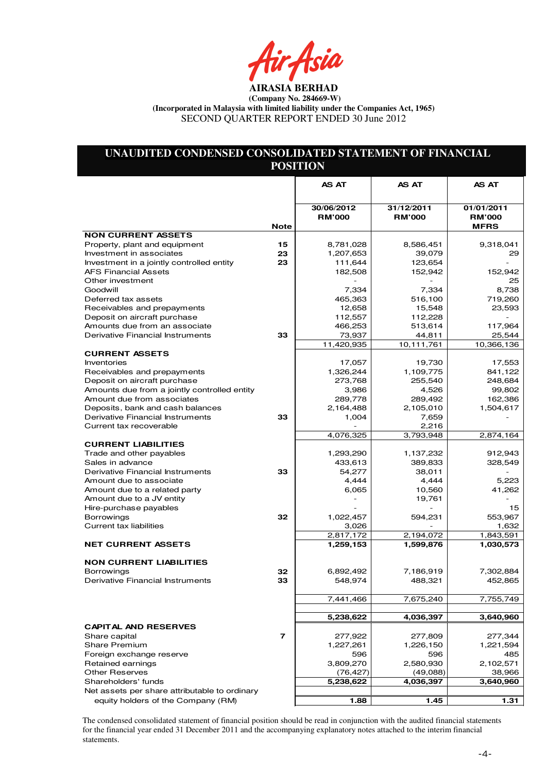fir<sub>t</sub>fsia

## **UNAUDITED CONDENSED CONSOLIDATED STATEMENT OF FINANCIAL POSITION**

|                                               |             | <b>AS AT</b>                | <b>AS AT</b>                | <b>AS AT</b>                |
|-----------------------------------------------|-------------|-----------------------------|-----------------------------|-----------------------------|
|                                               |             |                             |                             |                             |
|                                               |             | 30/06/2012<br><b>RM'000</b> | 31/12/2011<br><b>RM'000</b> | 01/01/2011<br><b>RM'000</b> |
|                                               | <b>Note</b> |                             |                             | <b>MFRS</b>                 |
| <b>NON CURRENT ASSETS</b>                     |             |                             |                             |                             |
| Property, plant and equipment                 | 15          | 8,781,028                   | 8,586,451                   | 9,318,041                   |
| Investment in associates                      | 23          | 1,207,653                   | 39,079                      | 29                          |
| Investment in a jointly controlled entity     | 23          | 111,644                     | 123,654                     |                             |
| <b>AFS Financial Assets</b>                   |             | 182,508                     | 152,942                     | 152,942                     |
| Other investment                              |             |                             |                             | 25                          |
| Goodwill                                      |             | 7,334                       | 7,334                       | 8.738                       |
| Deferred tax assets                           |             | 465,363                     | 516,100                     | 719,260                     |
| Receivables and prepayments                   |             | 12,658                      | 15,548                      | 23,593                      |
| Deposit on aircraft purchase                  |             | 112,557                     | 112,228<br>513,614          | 117,964                     |
| Amounts due from an associate                 |             | 466,253                     |                             |                             |
| Derivative Financial Instruments              | 33          | 73,937<br>11,420,935        | 44,811<br>10,111,761        | 25,544<br>10,366,136        |
| <b>CURRENT ASSETS</b>                         |             |                             |                             |                             |
| <b>Inventories</b>                            |             | 17,057                      | 19,730                      | 17,553                      |
| Receivables and prepayments                   |             | 1,326,244                   | 1,109,775                   | 841,122                     |
| Deposit on aircraft purchase                  |             | 273,768                     | 255,540                     | 248,684                     |
| Amounts due from a jointly controlled entity  |             | 3,986                       | 4,526                       | 99,802                      |
| Amount due from associates                    |             | 289,778                     | 289,492                     | 162,386                     |
| Deposits, bank and cash balances              |             | 2,164,488                   | 2,105,010                   | 1,504,617                   |
| Derivative Financial Instruments              | 33          | 1,004                       | 7,659                       |                             |
| Current tax recoverable                       |             |                             | 2,216                       |                             |
|                                               |             | 4,076,325                   | 3,793,948                   | 2,874,164                   |
| <b>CURRENT LIABILITIES</b>                    |             |                             |                             |                             |
| Trade and other payables                      |             | 1,293,290                   | 1,137,232                   | 912,943                     |
| Sales in advance                              |             | 433,613                     | 389,833                     | 328,549                     |
| Derivative Financial Instruments              | 33          | 54,277                      | 38,011                      |                             |
| Amount due to associate                       |             | 4,444                       | 4,444                       | 5,223                       |
| Amount due to a related party                 |             | 6,065                       | 10,560                      | 41,262                      |
| Amount due to a JV entity                     |             |                             | 19,761                      |                             |
| Hire-purchase payables                        |             |                             |                             | 15                          |
| <b>Borrowings</b>                             | 32          | 1,022,457                   | 594,231                     | 553,967                     |
| <b>Current tax liabilities</b>                |             | 3,026                       |                             | 1,632                       |
|                                               |             | 2,817,172                   | 2,194,072                   | 1,843,591                   |
| <b>NET CURRENT ASSETS</b>                     |             | 1,259,153                   | 1,599,876                   | 1,030,573                   |
|                                               |             |                             |                             |                             |
| <b>NON CURRENT LIABILITIES</b>                |             |                             |                             |                             |
| <b>Borrowings</b>                             | 32          | 6,892,492                   | 7,186,919                   | 7,302,884                   |
| Derivative Financial Instruments              | 33          | 548,974                     | 488,321                     | 452,865                     |
|                                               |             |                             |                             |                             |
|                                               |             | 7,441,466                   | 7,675,240                   | 7,755,749                   |
|                                               |             |                             |                             |                             |
|                                               |             | 5,238,622                   | 4,036,397                   | 3,640,960                   |
| <b>CAPITAL AND RESERVES</b>                   |             |                             |                             |                             |
| Share capital                                 | 7           | 277,922                     | 277,809                     | 277,344                     |
| <b>Share Premium</b>                          |             | 1,227,261                   | 1,226,150                   | 1,221,594                   |
| Foreign exchange reserve                      |             | 596                         | 596                         | 485                         |
| Retained earnings                             |             | 3,809,270                   | 2,580,930                   | 2,102,571                   |
| <b>Other Reserves</b>                         |             | (76, 427)                   | (49,088)                    | 38,966                      |
| Shareholders' funds                           |             | 5,238,622                   | 4,036,397                   | 3,640,960                   |
| Net assets per share attributable to ordinary |             |                             |                             |                             |
| equity holders of the Company (RM)            |             | 1.88                        | 1.45                        | 1.31                        |

The condensed consolidated statement of financial position should be read in conjunction with the audited financial statements for the financial year ended 31 December 2011 and the accompanying explanatory notes attached to the interim financial statements.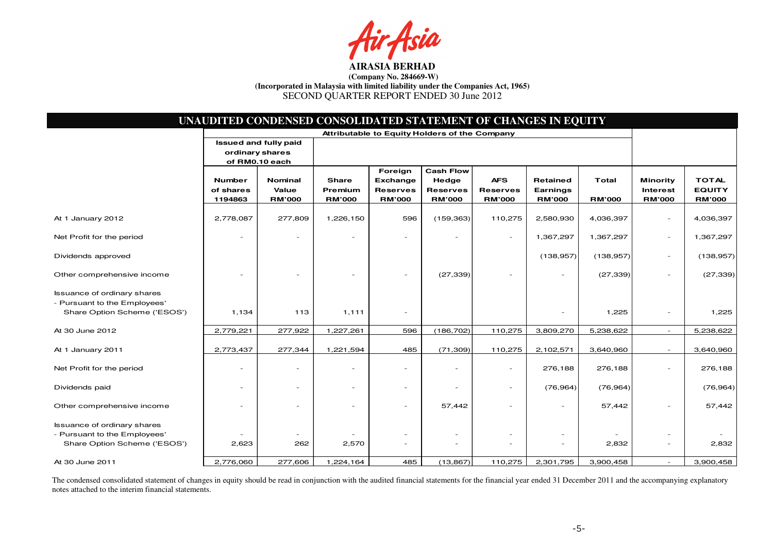

|                                                                                                    |                                               | UNAUDITED CONDENSED CONSOLIDATED STATEMENT OF CHANGES IN EQUITY |                                          |                                                         |                                                               |                                                |                                              |                               |                                                     |                                                |
|----------------------------------------------------------------------------------------------------|-----------------------------------------------|-----------------------------------------------------------------|------------------------------------------|---------------------------------------------------------|---------------------------------------------------------------|------------------------------------------------|----------------------------------------------|-------------------------------|-----------------------------------------------------|------------------------------------------------|
|                                                                                                    | Attributable to Equity Holders of the Company |                                                                 |                                          |                                                         |                                                               |                                                |                                              |                               |                                                     |                                                |
|                                                                                                    | ordinary shares                               | <b>Issued and fully paid</b><br>of RM0.10 each                  |                                          |                                                         |                                                               |                                                |                                              |                               |                                                     |                                                |
|                                                                                                    | <b>Number</b><br>of shares<br>1194863         | Nominal<br>Value<br><b>RM'000</b>                               | <b>Share</b><br>Premium<br><b>RM'000</b> | Foreign<br>Exchange<br><b>Reserves</b><br><b>RM'000</b> | <b>Cash Flow</b><br>Hedge<br><b>Reserves</b><br><b>RM'000</b> | <b>AFS</b><br><b>Reserves</b><br><b>RM'000</b> | <b>Retained</b><br>Earnings<br><b>RM'000</b> | <b>Total</b><br><b>RM'000</b> | <b>Minority</b><br><b>Interest</b><br><b>RM'000</b> | <b>TOTAL</b><br><b>EQUITY</b><br><b>RM'000</b> |
| At 1 January 2012                                                                                  | 2,778,087                                     | 277,809                                                         | 1,226,150                                | 596                                                     | (159, 363)                                                    | 110,275                                        | 2,580,930                                    | 4,036,397                     | $\overline{a}$                                      | 4,036,397                                      |
| Net Profit for the period                                                                          |                                               |                                                                 |                                          |                                                         |                                                               | $\overline{\phantom{a}}$                       | 1,367,297                                    | 1,367,297                     | $\overline{a}$                                      | 1,367,297                                      |
| Dividends approved                                                                                 |                                               |                                                                 |                                          |                                                         |                                                               |                                                | (138, 957)                                   | (138, 957)                    | $\overline{a}$                                      | (138, 957)                                     |
| Other comprehensive income                                                                         |                                               |                                                                 |                                          |                                                         | (27, 339)                                                     |                                                |                                              | (27, 339)                     | $\overline{a}$                                      | (27, 339)                                      |
| <b>Issuance of ordinary shares</b><br>- Pursuant to the Employees'<br>Share Option Scheme ('ESOS') | 1,134                                         | 113                                                             | 1,111                                    | $\overline{a}$                                          |                                                               |                                                |                                              | 1,225                         | $\overline{a}$                                      | 1,225                                          |
| At 30 June 2012                                                                                    | 2,779,221                                     | 277,922                                                         | 1,227,261                                | 596                                                     | (186, 702)                                                    | 110,275                                        | 3,809,270                                    | 5,238,622                     | $\overline{a}$                                      | 5,238,622                                      |
| At 1 January 2011                                                                                  | 2,773,437                                     | 277,344                                                         | 1,221,594                                | 485                                                     | (71, 309)                                                     | 110,275                                        | 2,102,571                                    | 3,640,960                     |                                                     | 3,640,960                                      |
| Net Profit for the period                                                                          |                                               |                                                                 |                                          |                                                         |                                                               | $\overline{\phantom{0}}$                       | 276,188                                      | 276,188                       |                                                     | 276,188                                        |
| Dividends paid                                                                                     |                                               |                                                                 |                                          | $\overline{\phantom{0}}$                                | $\overline{a}$                                                | $\overline{\phantom{0}}$                       | (76, 964)                                    | (76, 964)                     |                                                     | (76, 964)                                      |
| Other comprehensive income                                                                         |                                               |                                                                 |                                          |                                                         | 57,442                                                        |                                                |                                              | 57,442                        |                                                     | 57,442                                         |
| <b>Issuance of ordinary shares</b><br>- Pursuant to the Employees'<br>Share Option Scheme ('ESOS') | 2,623                                         | 262                                                             | 2,570                                    | $\overline{a}$                                          |                                                               |                                                |                                              | 2,832                         | $\qquad \qquad -$                                   | 2,832                                          |
| At 30 June 2011                                                                                    | 2,776,060                                     | 277,606                                                         | 1,224,164                                | 485                                                     | (13, 867)                                                     | 110,275                                        | 2,301,795                                    | 3,900,458                     | $\overline{a}$                                      | 3,900,458                                      |

The condensed consolidated statement of changes in equity should be read in conjunction with the audited financial statements for the financial year ended 31 December 2011 and the accompanying explanatory notes attached to the interim financial statements.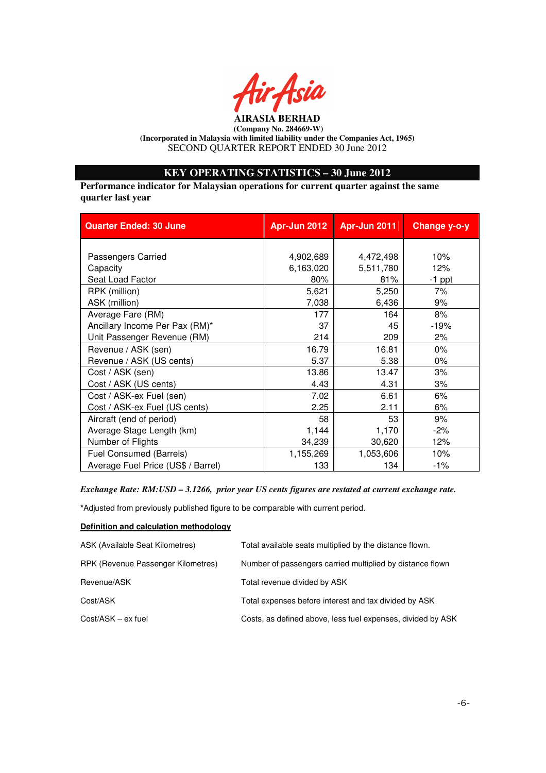

## **KEY OPERATING STATISTICS – 30 June 2012**

**Performance indicator for Malaysian operations for current quarter against the same quarter last year** 

| <b>Quarter Ended: 30 June</b>      | <b>Apr-Jun 2012</b> | Apr-Jun 2011 | Change y-o-y |
|------------------------------------|---------------------|--------------|--------------|
|                                    |                     |              |              |
| Passengers Carried                 | 4,902,689           | 4,472,498    | 10%          |
| Capacity                           | 6,163,020           | 5,511,780    | 12%          |
| Seat Load Factor                   | 80%                 | 81%          | $-1$ ppt     |
| RPK (million)                      | 5,621               | 5,250        | 7%           |
| ASK (million)                      | 7,038               | 6,436        | 9%           |
| Average Fare (RM)                  | 177                 | 164          | 8%           |
| Ancillary Income Per Pax (RM)*     | 37                  | 45           | $-19%$       |
| Unit Passenger Revenue (RM)        | 214                 | 209          | 2%           |
| Revenue / ASK (sen)                | 16.79               | 16.81        | 0%           |
| Revenue / ASK (US cents)           | 5.37                | 5.38         | 0%           |
| Cost / ASK (sen)                   | 13.86               | 13.47        | 3%           |
| Cost / ASK (US cents)              | 4.43                | 4.31         | 3%           |
| Cost / ASK-ex Fuel (sen)           | 7.02                | 6.61         | 6%           |
| Cost / ASK-ex Fuel (US cents)      | 2.25                | 2.11         | 6%           |
| Aircraft (end of period)           | 58                  | 53           | 9%           |
| Average Stage Length (km)          | 1,144               | 1,170        | $-2%$        |
| Number of Flights                  | 34,239              | 30,620       | 12%          |
| <b>Fuel Consumed (Barrels)</b>     | 1,155,269           | 1,053,606    | 10%          |
| Average Fuel Price (US\$ / Barrel) | 133                 | 134          | $-1\%$       |

#### *Exchange Rate: RM:USD – 3.1266, prior year US cents figures are restated at current exchange rate.*

**\***Adjusted from previously published figure to be comparable with current period.

#### **Definition and calculation methodology**

| ASK (Available Seat Kilometres)    | Total available seats multiplied by the distance flown.     |
|------------------------------------|-------------------------------------------------------------|
| RPK (Revenue Passenger Kilometres) | Number of passengers carried multiplied by distance flown   |
| Revenue/ASK                        | Total revenue divided by ASK                                |
| Cost/ASK                           | Total expenses before interest and tax divided by ASK       |
| $Cost/ASK - ex fuel$               | Costs, as defined above, less fuel expenses, divided by ASK |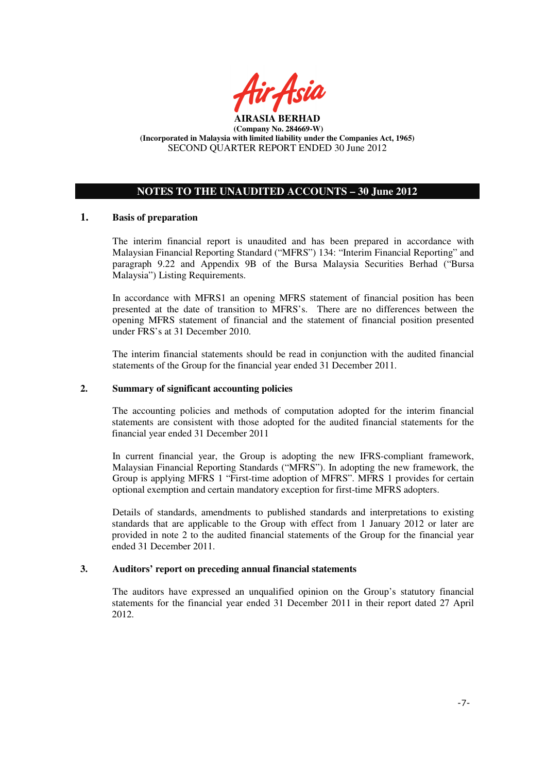

## **NOTES TO THE UNAUDITED ACCOUNTS – 30 June 2012**

## **1. Basis of preparation**

The interim financial report is unaudited and has been prepared in accordance with Malaysian Financial Reporting Standard ("MFRS") 134: "Interim Financial Reporting" and paragraph 9.22 and Appendix 9B of the Bursa Malaysia Securities Berhad ("Bursa Malaysia") Listing Requirements.

In accordance with MFRS1 an opening MFRS statement of financial position has been presented at the date of transition to MFRS's. There are no differences between the opening MFRS statement of financial and the statement of financial position presented under FRS's at 31 December 2010.

The interim financial statements should be read in conjunction with the audited financial statements of the Group for the financial year ended 31 December 2011.

#### **2. Summary of significant accounting policies**

The accounting policies and methods of computation adopted for the interim financial statements are consistent with those adopted for the audited financial statements for the financial year ended 31 December 2011

In current financial year, the Group is adopting the new IFRS-compliant framework, Malaysian Financial Reporting Standards ("MFRS"). In adopting the new framework, the Group is applying MFRS 1 "First-time adoption of MFRS". MFRS 1 provides for certain optional exemption and certain mandatory exception for first-time MFRS adopters.

Details of standards, amendments to published standards and interpretations to existing standards that are applicable to the Group with effect from 1 January 2012 or later are provided in note 2 to the audited financial statements of the Group for the financial year ended 31 December 2011.

#### **3. Auditors' report on preceding annual financial statements**

The auditors have expressed an unqualified opinion on the Group's statutory financial statements for the financial year ended 31 December 2011 in their report dated 27 April 2012.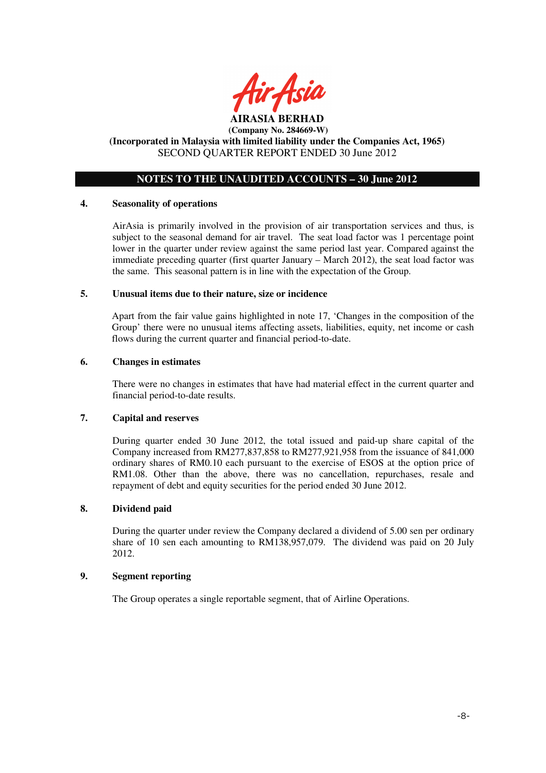

## **NOTES TO THE UNAUDITED ACCOUNTS – 30 June 2012**

#### **4. Seasonality of operations**

AirAsia is primarily involved in the provision of air transportation services and thus, is subject to the seasonal demand for air travel. The seat load factor was 1 percentage point lower in the quarter under review against the same period last year. Compared against the immediate preceding quarter (first quarter January – March 2012), the seat load factor was the same. This seasonal pattern is in line with the expectation of the Group.

#### **5. Unusual items due to their nature, size or incidence**

Apart from the fair value gains highlighted in note 17, 'Changes in the composition of the Group' there were no unusual items affecting assets, liabilities, equity, net income or cash flows during the current quarter and financial period-to-date.

#### **6. Changes in estimates**

There were no changes in estimates that have had material effect in the current quarter and financial period-to-date results.

## **7. Capital and reserves**

During quarter ended 30 June 2012, the total issued and paid-up share capital of the Company increased from RM277,837,858 to RM277,921,958 from the issuance of 841,000 ordinary shares of RM0.10 each pursuant to the exercise of ESOS at the option price of RM1.08. Other than the above, there was no cancellation, repurchases, resale and repayment of debt and equity securities for the period ended 30 June 2012.

## **8. Dividend paid**

 During the quarter under review the Company declared a dividend of 5.00 sen per ordinary share of 10 sen each amounting to RM138,957,079. The dividend was paid on 20 July 2012.

#### **9. Segment reporting**

The Group operates a single reportable segment, that of Airline Operations.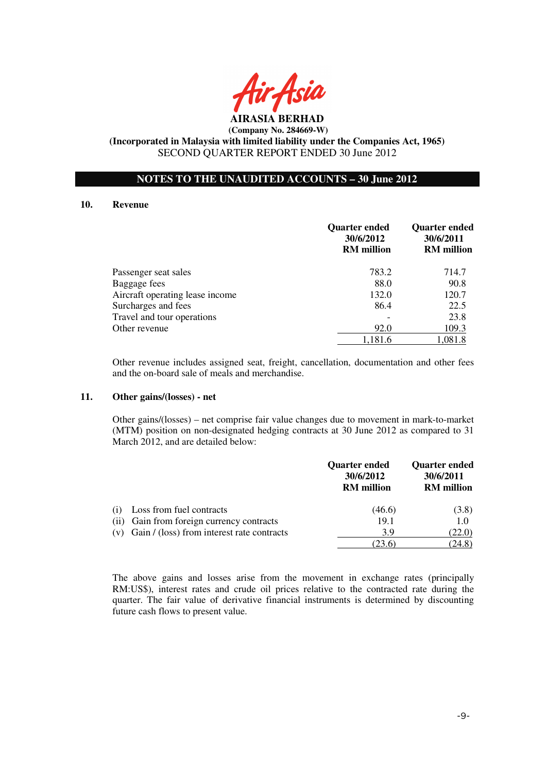

**AIRASIA BERHAD (Company No. 284669-W) (Incorporated in Malaysia with limited liability under the Companies Act, 1965)** 

SECOND QUARTER REPORT ENDED 30 June 2012

## **NOTES TO THE UNAUDITED ACCOUNTS – 30 June 2012**

#### **10. Revenue**

|                                 | <b>Quarter ended</b><br>30/6/2012<br><b>RM</b> million | <b>Quarter ended</b><br>30/6/2011<br><b>RM</b> million |
|---------------------------------|--------------------------------------------------------|--------------------------------------------------------|
| Passenger seat sales            | 783.2                                                  | 714.7                                                  |
| Baggage fees                    | 88.0                                                   | 90.8                                                   |
| Aircraft operating lease income | 132.0                                                  | 120.7                                                  |
| Surcharges and fees             | 86.4                                                   | 22.5                                                   |
| Travel and tour operations      |                                                        | 23.8                                                   |
| Other revenue                   | 92.0                                                   | 109.3                                                  |
|                                 | 1,181.6                                                | 1,081.8                                                |

Other revenue includes assigned seat, freight, cancellation, documentation and other fees and the on-board sale of meals and merchandise.

#### **11. Other gains/(losses) - net**

 Other gains/(losses) – net comprise fair value changes due to movement in mark-to-market (MTM) position on non-designated hedging contracts at 30 June 2012 as compared to 31 March 2012, and are detailed below:

|     |                                                  | <b>Quarter ended</b><br>30/6/2012<br><b>RM</b> million | <b>Quarter ended</b><br>30/6/2011<br><b>RM</b> million |
|-----|--------------------------------------------------|--------------------------------------------------------|--------------------------------------------------------|
| (1) | Loss from fuel contracts                         | (46.6)                                                 | (3.8)                                                  |
|     | (ii) Gain from foreign currency contracts        | 19.1                                                   | 1.0                                                    |
|     | $(v)$ Gain / (loss) from interest rate contracts | 3.9                                                    | (22.0)                                                 |
|     |                                                  | 23.6                                                   | (24.8)                                                 |

The above gains and losses arise from the movement in exchange rates (principally RM:US\$), interest rates and crude oil prices relative to the contracted rate during the quarter. The fair value of derivative financial instruments is determined by discounting future cash flows to present value.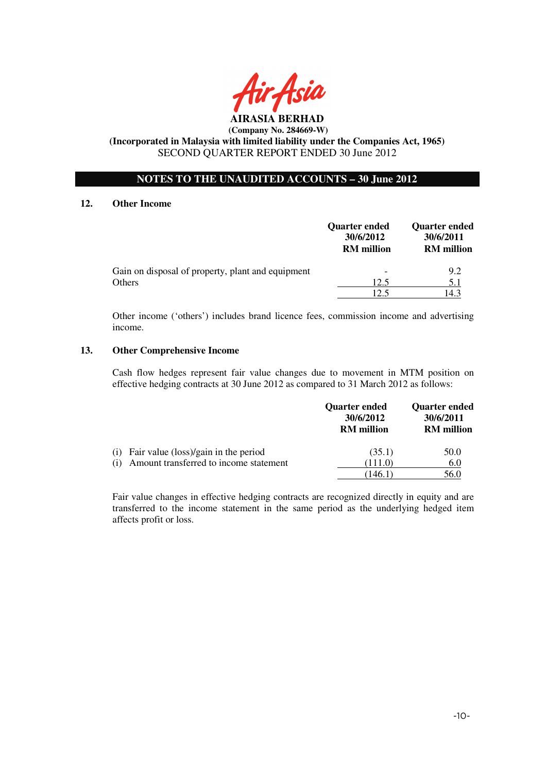

## **NOTES TO THE UNAUDITED ACCOUNTS – 30 June 2012**

#### **12. Other Income**

|                                                   | <b>Quarter ended</b><br>30/6/2012<br><b>RM</b> million | <b>Quarter ended</b><br>30/6/2011<br><b>RM</b> million |
|---------------------------------------------------|--------------------------------------------------------|--------------------------------------------------------|
| Gain on disposal of property, plant and equipment |                                                        | 9.2                                                    |
| Others                                            | 12.5                                                   | 5.1                                                    |
|                                                   | 12.5                                                   | 14.3                                                   |

Other income ('others') includes brand licence fees, commission income and advertising income.

#### **13. Other Comprehensive Income**

Cash flow hedges represent fair value changes due to movement in MTM position on effective hedging contracts at 30 June 2012 as compared to 31 March 2012 as follows:

|                                               | Quarter ended<br>30/6/2012<br><b>RM</b> million | Quarter ended<br>30/6/2011<br><b>RM</b> million |
|-----------------------------------------------|-------------------------------------------------|-------------------------------------------------|
| Fair value (loss)/gain in the period<br>(1)   | (35.1)                                          | 50.0                                            |
| Amount transferred to income statement<br>(1) | (111.0)                                         | 6.0                                             |
|                                               | 146.1                                           | 56.0                                            |

Fair value changes in effective hedging contracts are recognized directly in equity and are transferred to the income statement in the same period as the underlying hedged item affects profit or loss.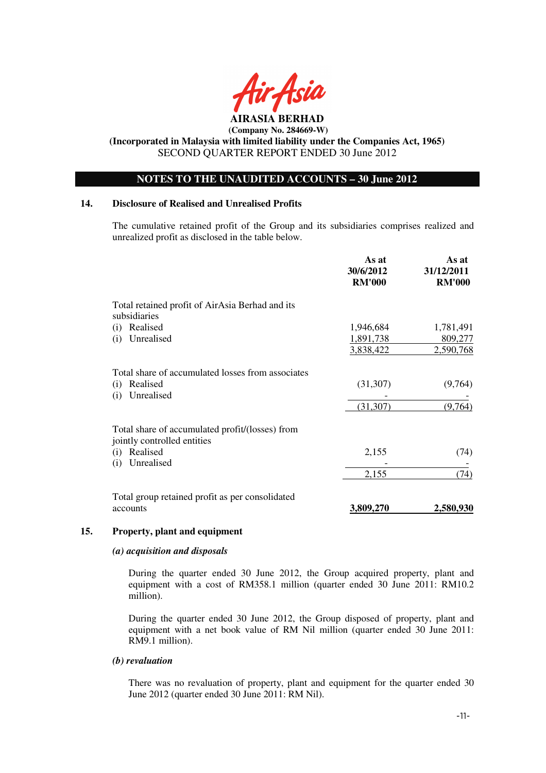

**(Incorporated in Malaysia with limited liability under the Companies Act, 1965)**  SECOND QUARTER REPORT ENDED 30 June 2012

## **NOTES TO THE UNAUDITED ACCOUNTS – 30 June 2012**

#### **14. Disclosure of Realised and Unrealised Profits**

The cumulative retained profit of the Group and its subsidiaries comprises realized and unrealized profit as disclosed in the table below.

|                                                                 | As at<br>30/6/2012<br><b>RM'000</b> | As at<br>31/12/2011<br><b>RM'000</b> |
|-----------------------------------------------------------------|-------------------------------------|--------------------------------------|
| Total retained profit of AirAsia Berhad and its<br>subsidiaries |                                     |                                      |
| Realised<br>(i)                                                 | 1,946,684                           | 1,781,491                            |
| Unrealised<br>(i)                                               | 1,891,738                           | 809,277                              |
|                                                                 | 3,838,422                           | 2,590,768                            |
| Total share of accumulated losses from associates               |                                     |                                      |
| Realised<br>(i)<br>Unrealised<br>(i)                            | (31, 307)                           | (9,764)                              |
|                                                                 | (31, 307)                           | (9,764)                              |
| Total share of accumulated profit/(losses) from                 |                                     |                                      |
| jointly controlled entities                                     |                                     |                                      |
| Realised<br>(i)                                                 | 2,155                               | (74)                                 |
| Unrealised<br>(i)                                               |                                     |                                      |
|                                                                 | 2,155                               | (74)                                 |
| Total group retained profit as per consolidated                 |                                     |                                      |
| accounts                                                        | 3,809,270                           | <u>2,580,930</u>                     |

## **15. Property, plant and equipment**

#### *(a) acquisition and disposals*

During the quarter ended 30 June 2012, the Group acquired property, plant and equipment with a cost of RM358.1 million (quarter ended 30 June 2011: RM10.2 million).

During the quarter ended 30 June 2012, the Group disposed of property, plant and equipment with a net book value of RM Nil million (quarter ended 30 June 2011: RM9.1 million).

#### *(b) revaluation*

There was no revaluation of property, plant and equipment for the quarter ended 30 June 2012 (quarter ended 30 June 2011: RM Nil).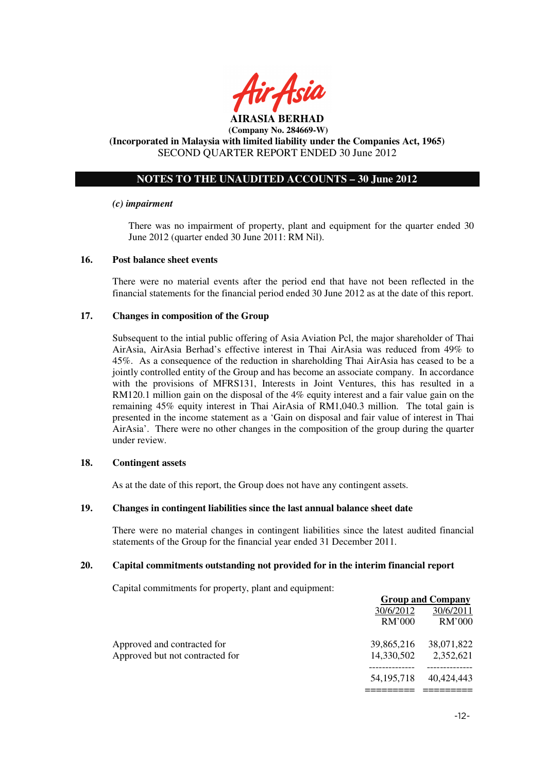

**AIRASIA BERHAD (Company No. 284669-W)** 

## **(Incorporated in Malaysia with limited liability under the Companies Act, 1965)**  SECOND QUARTER REPORT ENDED 30 June 2012

## **NOTES TO THE UNAUDITED ACCOUNTS – 30 June 2012**

#### *(c) impairment*

There was no impairment of property, plant and equipment for the quarter ended 30 June 2012 (quarter ended 30 June 2011: RM Nil).

#### **16. Post balance sheet events**

There were no material events after the period end that have not been reflected in the financial statements for the financial period ended 30 June 2012 as at the date of this report.

#### **17. Changes in composition of the Group**

Subsequent to the intial public offering of Asia Aviation Pcl, the major shareholder of Thai AirAsia, AirAsia Berhad's effective interest in Thai AirAsia was reduced from 49% to 45%. As a consequence of the reduction in shareholding Thai AirAsia has ceased to be a jointly controlled entity of the Group and has become an associate company. In accordance with the provisions of MFRS131, Interests in Joint Ventures, this has resulted in a RM120.1 million gain on the disposal of the 4% equity interest and a fair value gain on the remaining 45% equity interest in Thai AirAsia of RM1,040.3 million. The total gain is presented in the income statement as a 'Gain on disposal and fair value of interest in Thai AirAsia'. There were no other changes in the composition of the group during the quarter under review.

#### **18. Contingent assets**

As at the date of this report, the Group does not have any contingent assets.

#### **19. Changes in contingent liabilities since the last annual balance sheet date**

There were no material changes in contingent liabilities since the latest audited financial statements of the Group for the financial year ended 31 December 2011.

#### **20. Capital commitments outstanding not provided for in the interim financial report**

Capital commitments for property, plant and equipment:

|                                 | <b>Group and Company</b> |            |
|---------------------------------|--------------------------|------------|
|                                 | 30/6/2012                | 30/6/2011  |
|                                 | RM'000                   | RM'000     |
| Approved and contracted for     | 39,865,216               | 38,071,822 |
| Approved but not contracted for | 14,330,502               | 2,352,621  |
|                                 | 54, 195, 718             | 40,424,443 |
|                                 |                          |            |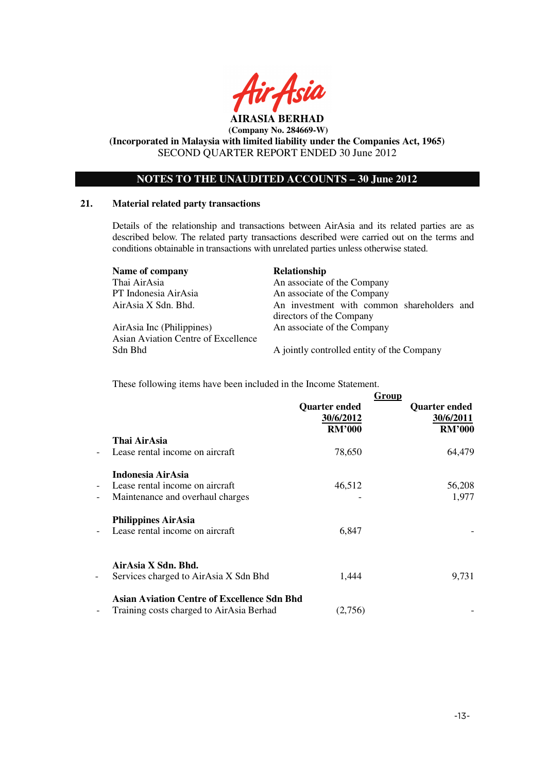

**(Incorporated in Malaysia with limited liability under the Companies Act, 1965)**  SECOND QUARTER REPORT ENDED 30 June 2012

## **NOTES TO THE UNAUDITED ACCOUNTS – 30 June 2012**

#### **21. Material related party transactions**

Details of the relationship and transactions between AirAsia and its related parties are as described below. The related party transactions described were carried out on the terms and conditions obtainable in transactions with unrelated parties unless otherwise stated.

| Name of company                     | Relationship                                                           |  |
|-------------------------------------|------------------------------------------------------------------------|--|
| Thai AirAsia                        | An associate of the Company                                            |  |
| PT Indonesia AirAsia                | An associate of the Company                                            |  |
| AirAsia X Sdn. Bhd.                 | An investment with common shareholders and<br>directors of the Company |  |
| AirAsia Inc (Philippines)           | An associate of the Company                                            |  |
| Asian Aviation Centre of Excellence |                                                                        |  |
| Sdn Bhd                             | A jointly controlled entity of the Company                             |  |

These following items have been included in the Income Statement.

|                          |                                                                                                | <b>Quarter ended</b><br>30/6/2012<br><b>RM'000</b> | Group<br><b>Quarter ended</b><br>30/6/2011<br><b>RM'000</b> |
|--------------------------|------------------------------------------------------------------------------------------------|----------------------------------------------------|-------------------------------------------------------------|
| $\overline{\phantom{0}}$ | Thai AirAsia<br>Lease rental income on aircraft                                                | 78,650                                             | 64,479                                                      |
| $\qquad \qquad -$<br>-   | Indonesia AirAsia<br>Lease rental income on aircraft<br>Maintenance and overhaul charges       | 46,512                                             | 56,208<br>1,977                                             |
| $\overline{\phantom{0}}$ | <b>Philippines AirAsia</b><br>Lease rental income on aircraft                                  | 6,847                                              |                                                             |
| -                        | AirAsia X Sdn. Bhd.<br>Services charged to AirAsia X Sdn Bhd                                   | 1,444                                              | 9,731                                                       |
| -                        | <b>Asian Aviation Centre of Excellence Sdn Bhd</b><br>Training costs charged to AirAsia Berhad | (2,756)                                            |                                                             |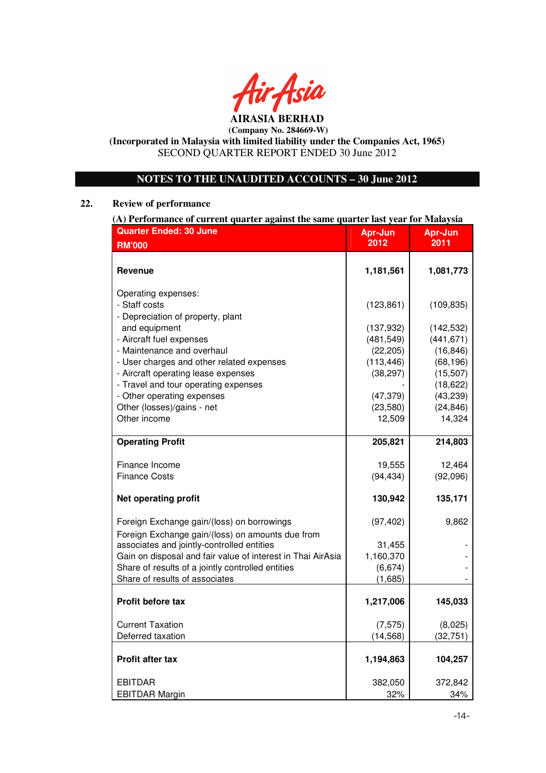

**(Incorporated in Malaysia with limited liability under the Companies Act, 1965)**  SECOND QUARTER REPORT ENDED 30 June 2012

## **NOTES TO THE UNAUDITED ACCOUNTS – 30 June 2012**

## **22. Review of performance**

| (A) Performance of current quarter against the same quarter last year for Malaysia |            |                        |  |
|------------------------------------------------------------------------------------|------------|------------------------|--|
| <b>Quarter Ended: 30 June</b><br>Apr-Jun<br>Apr-Jun                                |            |                        |  |
| <b>RM'000</b>                                                                      | 2012       | 2011                   |  |
|                                                                                    |            |                        |  |
| <b>Revenue</b>                                                                     | 1,181,561  | 1,081,773              |  |
| Operating expenses:                                                                |            |                        |  |
| - Staff costs                                                                      | (123, 861) | (109, 835)             |  |
| - Depreciation of property, plant                                                  |            |                        |  |
| and equipment                                                                      | (137, 932) | (142, 532)             |  |
| - Aircraft fuel expenses                                                           | (481, 549) | (441, 671)             |  |
| - Maintenance and overhaul                                                         | (22, 205)  | (16, 846)              |  |
| - User charges and other related expenses                                          | (113, 446) | (68, 196)              |  |
| - Aircraft operating lease expenses<br>- Travel and tour operating expenses        | (38, 297)  | (15, 507)<br>(18, 622) |  |
| - Other operating expenses                                                         | (47, 379)  | (43, 239)              |  |
| Other (losses)/gains - net                                                         | (23,580)   | (24, 846)              |  |
| Other income                                                                       | 12,509     | 14,324                 |  |
|                                                                                    |            |                        |  |
| <b>Operating Profit</b>                                                            | 205,821    | 214,803                |  |
|                                                                                    |            |                        |  |
| Finance Income                                                                     | 19,555     | 12,464                 |  |
| <b>Finance Costs</b>                                                               | (94, 434)  | (92,096)               |  |
| <b>Net operating profit</b>                                                        | 130,942    | 135,171                |  |
| Foreign Exchange gain/(loss) on borrowings                                         | (97, 402)  | 9,862                  |  |
| Foreign Exchange gain/(loss) on amounts due from                                   |            |                        |  |
| associates and jointly-controlled entities                                         | 31,455     |                        |  |
| Gain on disposal and fair value of interest in Thai AirAsia                        | 1,160,370  |                        |  |
| Share of results of a jointly controlled entities                                  | (6, 674)   |                        |  |
| Share of results of associates                                                     | (1,685)    |                        |  |
| <b>Profit before tax</b>                                                           | 1,217,006  | 145,033                |  |
|                                                                                    |            |                        |  |
| <b>Current Taxation</b>                                                            | (7, 575)   | (8,025)                |  |
| Deferred taxation                                                                  | (14, 568)  | (32, 751)              |  |
| Profit after tax                                                                   | 1,194,863  | 104,257                |  |
| <b>EBITDAR</b>                                                                     | 382,050    | 372,842                |  |
| <b>EBITDAR Margin</b>                                                              | 32%        | 34%                    |  |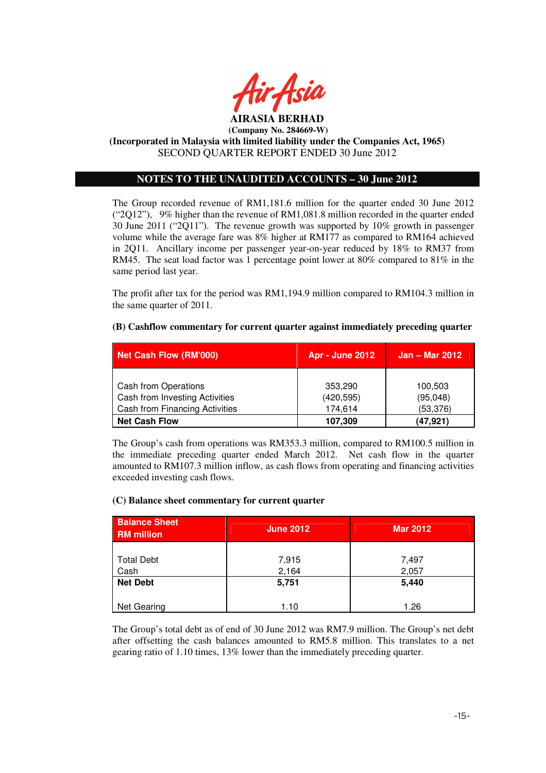

## **(Incorporated in Malaysia with limited liability under the Companies Act, 1965)**  SECOND QUARTER REPORT ENDED 30 June 2012

## **NOTES TO THE UNAUDITED ACCOUNTS – 30 June 2012**

The Group recorded revenue of RM1,181.6 million for the quarter ended 30 June 2012 ("2Q12"), 9% higher than the revenue of RM1,081.8 million recorded in the quarter ended 30 June 2011 ("2Q11"). The revenue growth was supported by 10% growth in passenger volume while the average fare was 8% higher at RM177 as compared to RM164 achieved in 2Q11. Ancillary income per passenger year-on-year reduced by 18% to RM37 from RM45. The seat load factor was 1 percentage point lower at 80% compared to 81% in the same period last year.

The profit after tax for the period was RM1,194.9 million compared to RM104.3 million in the same quarter of 2011.

## **(B) Cashflow commentary for current quarter against immediately preceding quarter**

| Net Cash Flow (RM'000)                | <b>Apr - June 2012</b> | <b>Jan – Mar 2012</b> |
|---------------------------------------|------------------------|-----------------------|
|                                       |                        |                       |
| Cash from Operations                  | 353,290                | 100,503               |
| Cash from Investing Activities        | (420, 595)             | (95,048)              |
| <b>Cash from Financing Activities</b> | 174,614                | (53, 376)             |
| <b>Net Cash Flow</b>                  | 107,309                | (47, 921)             |

The Group's cash from operations was RM353.3 million, compared to RM100.5 million in the immediate preceding quarter ended March 2012. Net cash flow in the quarter amounted to RM107.3 million inflow, as cash flows from operating and financing activities exceeded investing cash flows.

## **(C) Balance sheet commentary for current quarter**

| <b>Balance Sheet</b><br><b>RM</b> million | <b>June 2012</b> | <b>Mar 2012</b> |
|-------------------------------------------|------------------|-----------------|
| <b>Total Debt</b><br>Cash                 | 7,915<br>2,164   | 7,497<br>2,057  |
| <b>Net Debt</b>                           | 5,751            | 5,440           |
| Net Gearing                               | 1.10             | 1.26            |

The Group's total debt as of end of 30 June 2012 was RM7.9 million. The Group's net debt after offsetting the cash balances amounted to RM5.8 million. This translates to a net gearing ratio of 1.10 times, 13% lower than the immediately preceding quarter.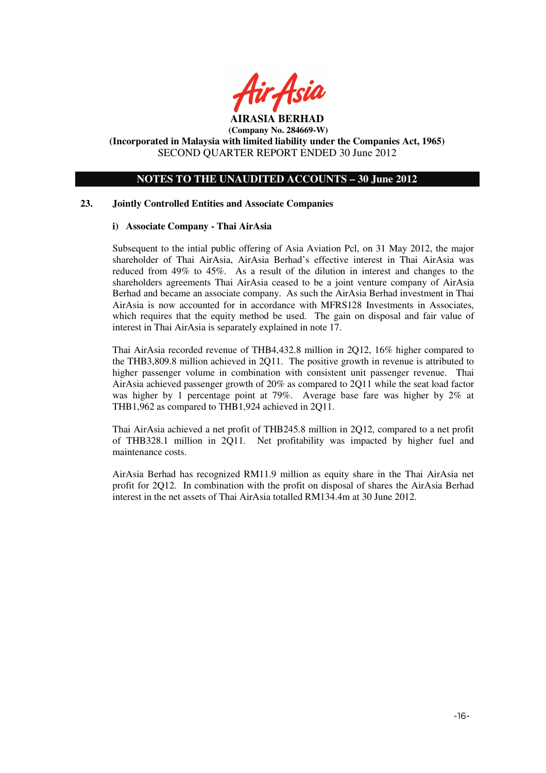

## **NOTES TO THE UNAUDITED ACCOUNTS – 30 June 2012**

## **23. Jointly Controlled Entities and Associate Companies**

## **i) Associate Company - Thai AirAsia**

Subsequent to the intial public offering of Asia Aviation Pcl, on 31 May 2012, the major shareholder of Thai AirAsia, AirAsia Berhad's effective interest in Thai AirAsia was reduced from 49% to 45%. As a result of the dilution in interest and changes to the shareholders agreements Thai AirAsia ceased to be a joint venture company of AirAsia Berhad and became an associate company. As such the AirAsia Berhad investment in Thai AirAsia is now accounted for in accordance with MFRS128 Investments in Associates, which requires that the equity method be used. The gain on disposal and fair value of interest in Thai AirAsia is separately explained in note 17.

Thai AirAsia recorded revenue of THB4,432.8 million in 2Q12, 16% higher compared to the THB3,809.8 million achieved in 2Q11. The positive growth in revenue is attributed to higher passenger volume in combination with consistent unit passenger revenue. Thai AirAsia achieved passenger growth of 20% as compared to 2Q11 while the seat load factor was higher by 1 percentage point at 79%. Average base fare was higher by 2% at THB1,962 as compared to THB1,924 achieved in 2Q11.

Thai AirAsia achieved a net profit of THB245.8 million in 2Q12, compared to a net profit of THB328.1 million in 2Q11. Net profitability was impacted by higher fuel and maintenance costs.

AirAsia Berhad has recognized RM11.9 million as equity share in the Thai AirAsia net profit for 2Q12. In combination with the profit on disposal of shares the AirAsia Berhad interest in the net assets of Thai AirAsia totalled RM134.4m at 30 June 2012.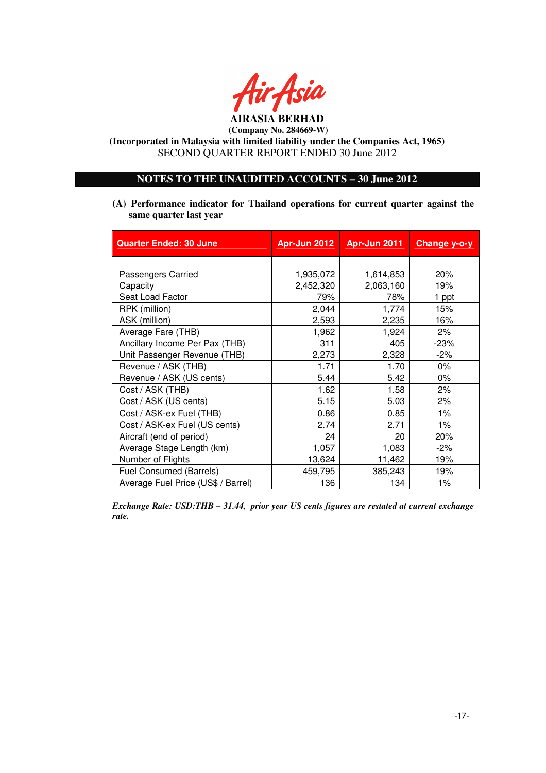

## **NOTES TO THE UNAUDITED ACCOUNTS – 30 June 2012**

**(A) Performance indicator for Thailand operations for current quarter against the same quarter last year**

| <b>Quarter Ended: 30 June</b>      | Apr-Jun 2012 | Apr-Jun 2011 | Change y-o-y |
|------------------------------------|--------------|--------------|--------------|
|                                    |              |              |              |
| Passengers Carried                 | 1,935,072    | 1,614,853    | 20%          |
| Capacity                           | 2,452,320    | 2,063,160    | 19%          |
| Seat Load Factor                   | 79%          | 78%          | 1 ppt        |
| RPK (million)                      | 2,044        | 1,774        | 15%          |
| ASK (million)                      | 2,593        | 2,235        | 16%          |
| Average Fare (THB)                 | 1,962        | 1,924        | 2%           |
| Ancillary Income Per Pax (THB)     | 311          | 405          | $-23%$       |
| Unit Passenger Revenue (THB)       | 2,273        | 2,328        | $-2\%$       |
| Revenue / ASK (THB)                | 1.71         | 1.70         | $0\%$        |
| Revenue / ASK (US cents)           | 5.44         | 5.42         | 0%           |
| Cost / ASK (THB)                   | 1.62         | 1.58         | 2%           |
| Cost / ASK (US cents)              | 5.15         | 5.03         | 2%           |
| Cost / ASK-ex Fuel (THB)           | 0.86         | 0.85         | $1\%$        |
| Cost / ASK-ex Fuel (US cents)      | 2.74         | 2.71         | $1\%$        |
| Aircraft (end of period)           | 24           | 20           | 20%          |
| Average Stage Length (km)          | 1,057        | 1,083        | $-2\%$       |
| Number of Flights                  | 13,624       | 11,462       | 19%          |
| Fuel Consumed (Barrels)            | 459,795      | 385,243      | 19%          |
| Average Fuel Price (US\$ / Barrel) | 136          | 134          | $1\%$        |

*Exchange Rate: USD:THB – 31.44, prior year US cents figures are restated at current exchange rate.*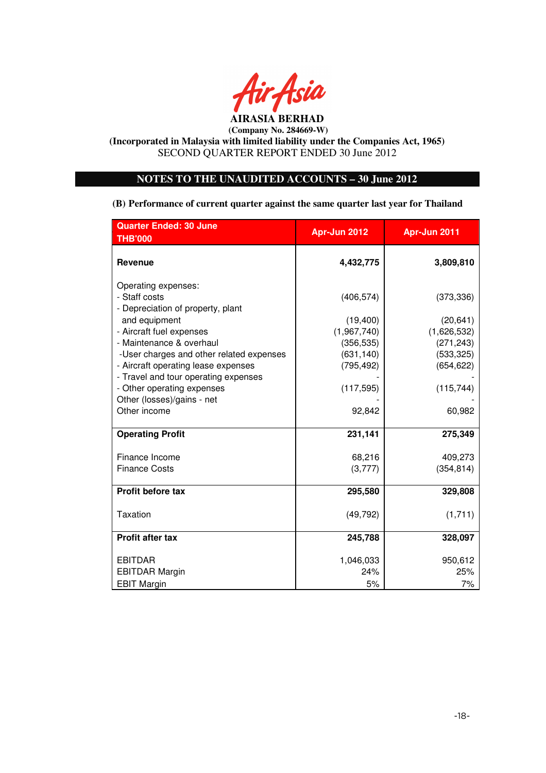

**(Incorporated in Malaysia with limited liability under the Companies Act, 1965)**  SECOND QUARTER REPORT ENDED 30 June 2012

## **NOTES TO THE UNAUDITED ACCOUNTS – 30 June 2012**

**(B) Performance of current quarter against the same quarter last year for Thailand**

| <b>Quarter Ended: 30 June</b>            | Apr-Jun 2012 | Apr-Jun 2011 |
|------------------------------------------|--------------|--------------|
| <b>THB'000</b>                           |              |              |
| <b>Revenue</b>                           | 4,432,775    | 3,809,810    |
| Operating expenses:                      |              |              |
| - Staff costs                            | (406, 574)   | (373, 336)   |
| - Depreciation of property, plant        |              |              |
| and equipment                            | (19,400)     | (20, 641)    |
| - Aircraft fuel expenses                 | (1,967,740)  | (1,626,532)  |
| - Maintenance & overhaul                 | (356, 535)   | (271, 243)   |
| -User charges and other related expenses | (631, 140)   | (533, 325)   |
| - Aircraft operating lease expenses      | (795, 492)   | (654, 622)   |
| - Travel and tour operating expenses     |              |              |
| - Other operating expenses               | (117, 595)   | (115, 744)   |
| Other (losses)/gains - net               |              |              |
| Other income                             | 92,842       | 60,982       |
| <b>Operating Profit</b>                  | 231,141      | 275,349      |
| Finance Income                           | 68,216       | 409,273      |
| <b>Finance Costs</b>                     | (3,777)      | (354, 814)   |
| <b>Profit before tax</b>                 | 295,580      | 329,808      |
|                                          |              |              |
| <b>Taxation</b>                          | (49, 792)    | (1,711)      |
|                                          |              |              |
| <b>Profit after tax</b>                  | 245,788      | 328,097      |
| <b>EBITDAR</b>                           | 1,046,033    | 950,612      |
| <b>EBITDAR Margin</b>                    | 24%          | 25%          |
| <b>EBIT Margin</b>                       | 5%           | 7%           |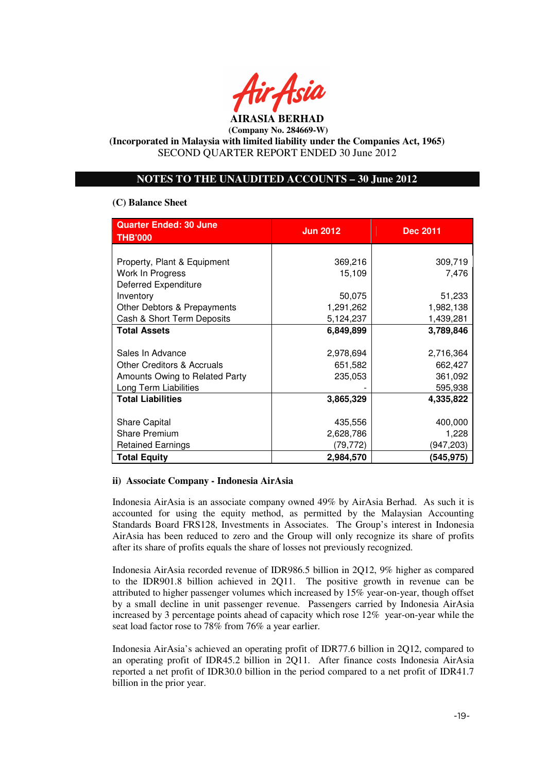

## **NOTES TO THE UNAUDITED ACCOUNTS – 30 June 2012**

#### **(C) Balance Sheet**

| <b>Quarter Ended: 30 June</b><br><b>THB'000</b> | <b>Jun 2012</b> | <b>Dec 2011</b> |
|-------------------------------------------------|-----------------|-----------------|
|                                                 |                 |                 |
| Property, Plant & Equipment                     | 369,216         | 309,719         |
| Work In Progress                                | 15,109          | 7,476           |
| <b>Deferred Expenditure</b>                     |                 |                 |
| Inventory                                       | 50,075          | 51,233          |
| Other Debtors & Prepayments                     | 1,291,262       | 1,982,138       |
| Cash & Short Term Deposits                      | 5,124,237       | 1,439,281       |
| <b>Total Assets</b>                             | 6,849,899       | 3,789,846       |
|                                                 |                 |                 |
| Sales In Advance                                | 2,978,694       | 2,716,364       |
| <b>Other Creditors &amp; Accruals</b>           | 651,582         | 662,427         |
| Amounts Owing to Related Party                  | 235,053         | 361,092         |
| Long Term Liabilities                           |                 | 595,938         |
| <b>Total Liabilities</b>                        | 3,865,329       | 4,335,822       |
|                                                 |                 |                 |
| <b>Share Capital</b>                            | 435,556         | 400,000         |
| <b>Share Premium</b>                            | 2,628,786       | 1,228           |
| <b>Retained Earnings</b>                        | (79,772)        | (947,203)       |
| <b>Total Equity</b>                             | 2,984,570       | (545, 975)      |

## **ii) Associate Company - Indonesia AirAsia**

Indonesia AirAsia is an associate company owned 49% by AirAsia Berhad. As such it is accounted for using the equity method, as permitted by the Malaysian Accounting Standards Board FRS128, Investments in Associates. The Group's interest in Indonesia AirAsia has been reduced to zero and the Group will only recognize its share of profits after its share of profits equals the share of losses not previously recognized.

Indonesia AirAsia recorded revenue of IDR986.5 billion in 2Q12, 9% higher as compared to the IDR901.8 billion achieved in 2Q11. The positive growth in revenue can be attributed to higher passenger volumes which increased by 15% year-on-year, though offset by a small decline in unit passenger revenue. Passengers carried by Indonesia AirAsia increased by 3 percentage points ahead of capacity which rose 12% year-on-year while the seat load factor rose to 78% from 76% a year earlier.

Indonesia AirAsia's achieved an operating profit of IDR77.6 billion in 2Q12, compared to an operating profit of IDR45.2 billion in 2Q11. After finance costs Indonesia AirAsia reported a net profit of IDR30.0 billion in the period compared to a net profit of IDR41.7 billion in the prior year.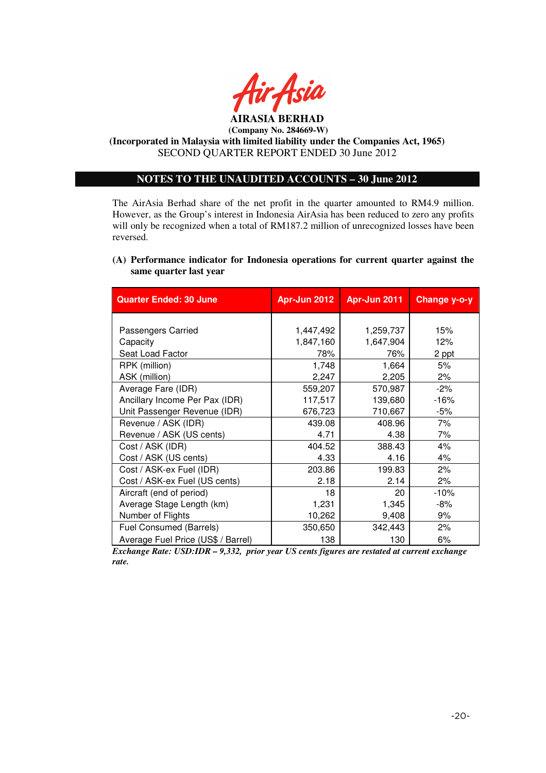

**(Incorporated in Malaysia with limited liability under the Companies Act, 1965)**  SECOND QUARTER REPORT ENDED 30 June 2012

## **NOTES TO THE UNAUDITED ACCOUNTS – 30 June 2012**

The AirAsia Berhad share of the net profit in the quarter amounted to RM4.9 million. However, as the Group's interest in Indonesia AirAsia has been reduced to zero any profits will only be recognized when a total of RM187.2 million of unrecognized losses have been reversed.

## **(A) Performance indicator for Indonesia operations for current quarter against the same quarter last year**

| <b>Quarter Ended: 30 June</b>      | <b>Apr-Jun 2012</b> | Apr-Jun 2011 | Change y-o-y |
|------------------------------------|---------------------|--------------|--------------|
|                                    |                     |              |              |
| Passengers Carried                 | 1,447,492           | 1,259,737    | 15%          |
| Capacity                           | 1,847,160           | 1,647,904    | 12%          |
| Seat Load Factor                   | 78%                 | 76%          | 2 ppt        |
| RPK (million)                      | 1,748               | 1,664        | 5%           |
| ASK (million)                      | 2,247               | 2,205        | 2%           |
| Average Fare (IDR)                 | 559,207             | 570,987      | $-2%$        |
| Ancillary Income Per Pax (IDR)     | 117,517             | 139,680      | $-16%$       |
| Unit Passenger Revenue (IDR)       | 676,723             | 710,667      | -5%          |
| Revenue / ASK (IDR)                | 439.08              | 408.96       | 7%           |
| Revenue / ASK (US cents)           | 4.71                | 4.38         | 7%           |
| Cost / ASK (IDR)                   | 404.52              | 388.43       | 4%           |
| Cost / ASK (US cents)              | 4.33                | 4.16         | 4%           |
| Cost / ASK-ex Fuel (IDR)           | 203.86              | 199.83       | 2%           |
| Cost / ASK-ex Fuel (US cents)      | 2.18                | 2.14         | 2%           |
| Aircraft (end of period)           | 18                  | 20           | $-10%$       |
| Average Stage Length (km)          | 1,231               | 1,345        | -8%          |
| Number of Flights                  | 10,262              | 9,408        | 9%           |
| Fuel Consumed (Barrels)            | 350,650             | 342,443      | 2%           |
| Average Fuel Price (US\$ / Barrel) | 138                 | 130          | 6%           |

*Exchange Rate: USD:IDR – 9,332, prior year US cents figures are restated at current exchange rate.*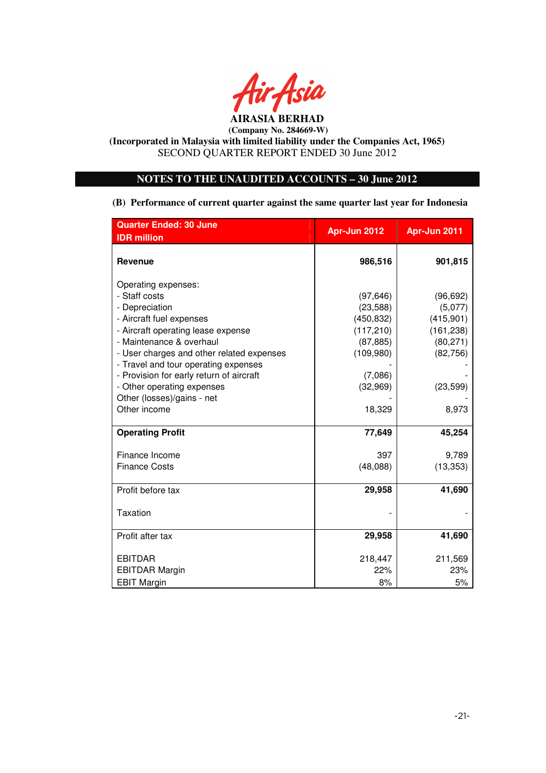

**(Incorporated in Malaysia with limited liability under the Companies Act, 1965)**  SECOND QUARTER REPORT ENDED 30 June 2012

## **NOTES TO THE UNAUDITED ACCOUNTS – 30 June 2012**

**(B) Performance of current quarter against the same quarter last year for Indonesia** 

| <b>Quarter Ended: 30 June</b>             | Apr-Jun 2012 | Apr-Jun 2011 |
|-------------------------------------------|--------------|--------------|
| <b>IDR</b> million                        |              |              |
| <b>Revenue</b>                            | 986,516      | 901,815      |
| Operating expenses:                       |              |              |
| - Staff costs                             | (97, 646)    | (96, 692)    |
| - Depreciation                            | (23, 588)    | (5,077)      |
| - Aircraft fuel expenses                  | (450, 832)   | (415,901)    |
| - Aircraft operating lease expense        | (117, 210)   | (161, 238)   |
| - Maintenance & overhaul                  | (87, 885)    | (80, 271)    |
| - User charges and other related expenses | (109,980)    | (82, 756)    |
| - Travel and tour operating expenses      |              |              |
| - Provision for early return of aircraft  | (7,086)      |              |
| - Other operating expenses                | (32,969)     | (23, 599)    |
| Other (losses)/gains - net                |              |              |
| Other income                              | 18,329       | 8,973        |
| <b>Operating Profit</b>                   | 77,649       | 45,254       |
| Finance Income                            | 397          | 9,789        |
| <b>Finance Costs</b>                      | (48,088)     | (13, 353)    |
| Profit before tax                         | 29,958       | 41,690       |
|                                           |              |              |
| Taxation                                  |              |              |
|                                           |              |              |
| Profit after tax                          | 29,958       | 41,690       |
| <b>EBITDAR</b>                            | 218,447      | 211,569      |
| <b>EBITDAR Margin</b>                     | 22%          | 23%          |
| <b>EBIT Margin</b>                        | 8%           | 5%           |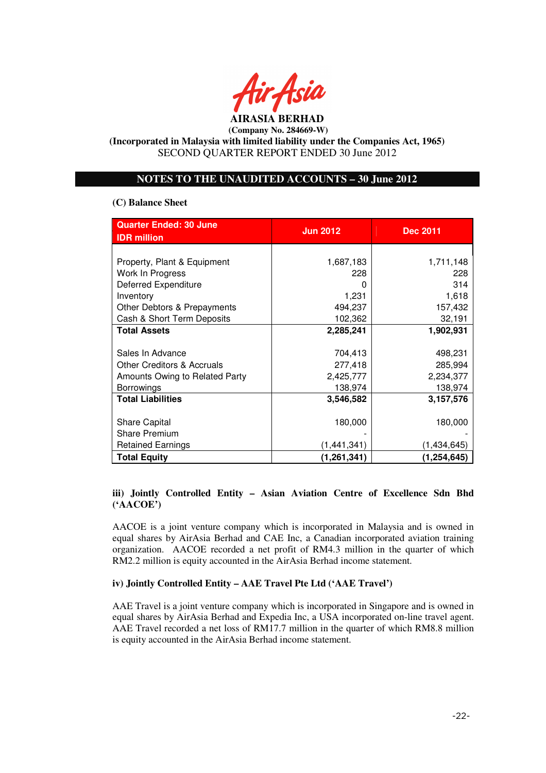

## **NOTES TO THE UNAUDITED ACCOUNTS – 30 June 2012**

#### **(C) Balance Sheet**

| <b>Quarter Ended: 30 June</b><br><b>IDR</b> million | <b>Jun 2012</b> | <b>Dec 2011</b> |
|-----------------------------------------------------|-----------------|-----------------|
|                                                     |                 |                 |
| Property, Plant & Equipment                         | 1,687,183       | 1,711,148       |
| Work In Progress                                    | 228             | 228             |
| <b>Deferred Expenditure</b>                         |                 | 314             |
| Inventory                                           | 1,231           | 1,618           |
| Other Debtors & Prepayments                         | 494,237         | 157,432         |
| Cash & Short Term Deposits                          | 102,362         | 32,191          |
| <b>Total Assets</b>                                 | 2,285,241       | 1,902,931       |
|                                                     |                 |                 |
| Sales In Advance                                    | 704,413         | 498,231         |
| Other Creditors & Accruals                          | 277,418         | 285,994         |
| Amounts Owing to Related Party                      | 2,425,777       | 2,234,377       |
| <b>Borrowings</b>                                   | 138,974         | 138,974         |
| <b>Total Liabilities</b>                            | 3,546,582       | 3,157,576       |
|                                                     |                 |                 |
| <b>Share Capital</b>                                | 180,000         | 180,000         |
| <b>Share Premium</b>                                |                 |                 |
| <b>Retained Earnings</b>                            | (1,441,341)     | (1,434,645)     |
| <b>Total Equity</b>                                 | (1, 261, 341)   | (1, 254, 645)   |

## **iii) Jointly Controlled Entity – Asian Aviation Centre of Excellence Sdn Bhd ('AACOE')**

AACOE is a joint venture company which is incorporated in Malaysia and is owned in equal shares by AirAsia Berhad and CAE Inc, a Canadian incorporated aviation training organization. AACOE recorded a net profit of RM4.3 million in the quarter of which RM2.2 million is equity accounted in the AirAsia Berhad income statement.

## **iv) Jointly Controlled Entity – AAE Travel Pte Ltd ('AAE Travel')**

AAE Travel is a joint venture company which is incorporated in Singapore and is owned in equal shares by AirAsia Berhad and Expedia Inc, a USA incorporated on-line travel agent. AAE Travel recorded a net loss of RM17.7 million in the quarter of which RM8.8 million is equity accounted in the AirAsia Berhad income statement.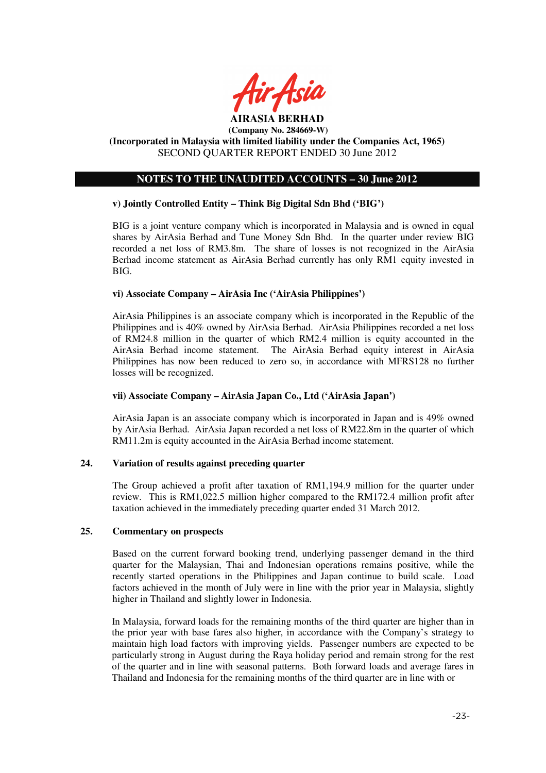

## **NOTES TO THE UNAUDITED ACCOUNTS – 30 June 2012**

## **v) Jointly Controlled Entity – Think Big Digital Sdn Bhd ('BIG')**

BIG is a joint venture company which is incorporated in Malaysia and is owned in equal shares by AirAsia Berhad and Tune Money Sdn Bhd. In the quarter under review BIG recorded a net loss of RM3.8m. The share of losses is not recognized in the AirAsia Berhad income statement as AirAsia Berhad currently has only RM1 equity invested in BIG.

#### **vi) Associate Company – AirAsia Inc ('AirAsia Philippines')**

AirAsia Philippines is an associate company which is incorporated in the Republic of the Philippines and is 40% owned by AirAsia Berhad. AirAsia Philippines recorded a net loss of RM24.8 million in the quarter of which RM2.4 million is equity accounted in the AirAsia Berhad income statement. The AirAsia Berhad equity interest in AirAsia Philippines has now been reduced to zero so, in accordance with MFRS128 no further losses will be recognized.

## **vii) Associate Company – AirAsia Japan Co., Ltd ('AirAsia Japan')**

AirAsia Japan is an associate company which is incorporated in Japan and is 49% owned by AirAsia Berhad. AirAsia Japan recorded a net loss of RM22.8m in the quarter of which RM11.2m is equity accounted in the AirAsia Berhad income statement.

## **24. Variation of results against preceding quarter**

The Group achieved a profit after taxation of RM1,194.9 million for the quarter under review. This is RM1,022.5 million higher compared to the RM172.4 million profit after taxation achieved in the immediately preceding quarter ended 31 March 2012.

#### **25. Commentary on prospects**

Based on the current forward booking trend, underlying passenger demand in the third quarter for the Malaysian, Thai and Indonesian operations remains positive, while the recently started operations in the Philippines and Japan continue to build scale. Load factors achieved in the month of July were in line with the prior year in Malaysia, slightly higher in Thailand and slightly lower in Indonesia.

In Malaysia, forward loads for the remaining months of the third quarter are higher than in the prior year with base fares also higher, in accordance with the Company's strategy to maintain high load factors with improving yields. Passenger numbers are expected to be particularly strong in August during the Raya holiday period and remain strong for the rest of the quarter and in line with seasonal patterns. Both forward loads and average fares in Thailand and Indonesia for the remaining months of the third quarter are in line with or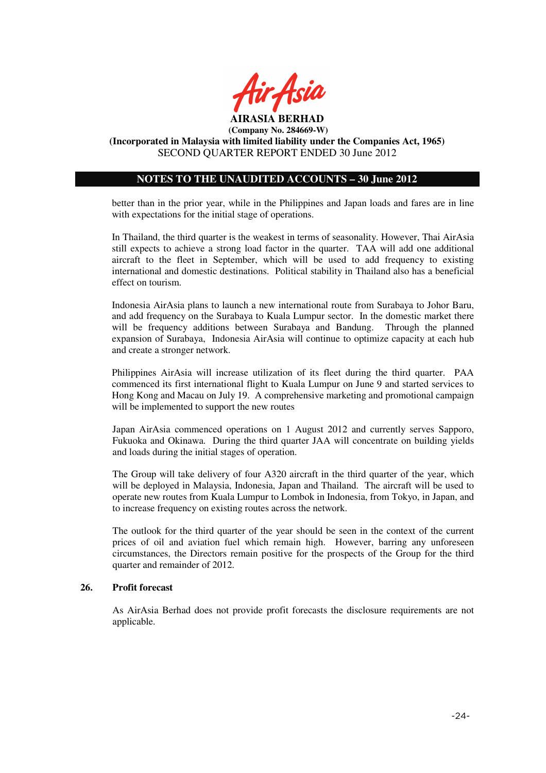

## **NOTES TO THE UNAUDITED ACCOUNTS – 30 June 2012**

better than in the prior year, while in the Philippines and Japan loads and fares are in line with expectations for the initial stage of operations.

In Thailand, the third quarter is the weakest in terms of seasonality. However, Thai AirAsia still expects to achieve a strong load factor in the quarter. TAA will add one additional aircraft to the fleet in September, which will be used to add frequency to existing international and domestic destinations. Political stability in Thailand also has a beneficial effect on tourism.

Indonesia AirAsia plans to launch a new international route from Surabaya to Johor Baru, and add frequency on the Surabaya to Kuala Lumpur sector. In the domestic market there will be frequency additions between Surabaya and Bandung. Through the planned expansion of Surabaya, Indonesia AirAsia will continue to optimize capacity at each hub and create a stronger network.

Philippines AirAsia will increase utilization of its fleet during the third quarter. PAA commenced its first international flight to Kuala Lumpur on June 9 and started services to Hong Kong and Macau on July 19. A comprehensive marketing and promotional campaign will be implemented to support the new routes

Japan AirAsia commenced operations on 1 August 2012 and currently serves Sapporo, Fukuoka and Okinawa. During the third quarter JAA will concentrate on building yields and loads during the initial stages of operation.

The Group will take delivery of four A320 aircraft in the third quarter of the year, which will be deployed in Malaysia, Indonesia, Japan and Thailand. The aircraft will be used to operate new routes from Kuala Lumpur to Lombok in Indonesia, from Tokyo, in Japan, and to increase frequency on existing routes across the network.

The outlook for the third quarter of the year should be seen in the context of the current prices of oil and aviation fuel which remain high. However, barring any unforeseen circumstances, the Directors remain positive for the prospects of the Group for the third quarter and remainder of 2012.

#### **26. Profit forecast**

As AirAsia Berhad does not provide profit forecasts the disclosure requirements are not applicable.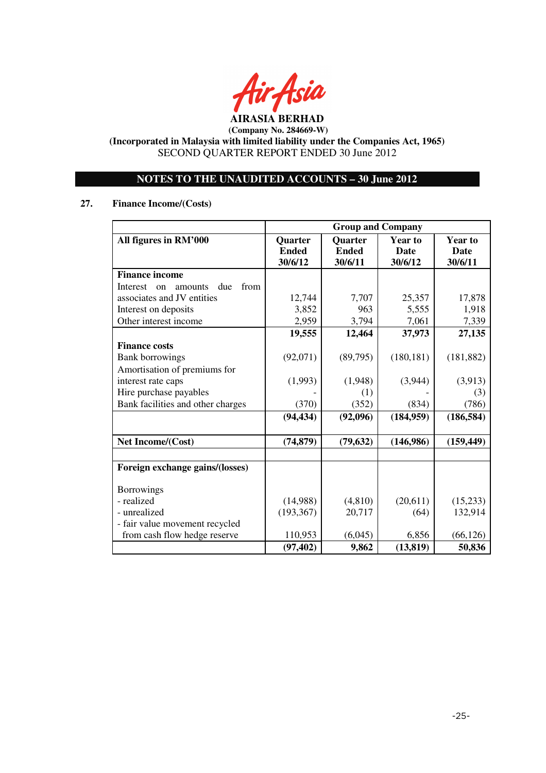

**AIRASIA BERHAD (Company No. 284669-W)** 

**(Incorporated in Malaysia with limited liability under the Companies Act, 1965)**  SECOND QUARTER REPORT ENDED 30 June 2012

## **NOTES TO THE UNAUDITED ACCOUNTS – 30 June 2012**

## **27. Finance Income/(Costs)**

|                                          | <b>Group and Company</b> |                |                |                |
|------------------------------------------|--------------------------|----------------|----------------|----------------|
| All figures in RM'000                    | Quarter                  | <b>Quarter</b> | <b>Year to</b> | <b>Year to</b> |
|                                          | <b>Ended</b>             | <b>Ended</b>   | <b>Date</b>    | <b>Date</b>    |
|                                          | 30/6/12                  | 30/6/11        | 30/6/12        | 30/6/11        |
| <b>Finance income</b>                    |                          |                |                |                |
| from<br>Interest<br>due<br>on<br>amounts |                          |                |                |                |
| associates and JV entities               | 12,744                   | 7,707          | 25,357         | 17,878         |
| Interest on deposits                     | 3,852                    | 963            | 5,555          | 1,918          |
| Other interest income                    | 2,959                    | 3,794          | 7,061          | 7,339          |
|                                          | 19,555                   | 12,464         | 37,973         | 27,135         |
| <b>Finance costs</b>                     |                          |                |                |                |
| <b>Bank borrowings</b>                   | (92,071)                 | (89,795)       | (180, 181)     | (181, 882)     |
| Amortisation of premiums for             |                          |                |                |                |
| interest rate caps                       | (1,993)                  | (1,948)        | (3,944)        | (3,913)        |
| Hire purchase payables                   |                          | (1)            |                | (3)            |
| Bank facilities and other charges        | (370)                    | (352)          | (834)          | (786)          |
|                                          | (94, 434)                | (92,096)       | (184, 959)     | (186, 584)     |
|                                          |                          |                |                |                |
| Net Income/(Cost)                        | (74, 879)                | (79, 632)      | (146,986)      | (159, 449)     |
|                                          |                          |                |                |                |
| Foreign exchange gains/(losses)          |                          |                |                |                |
| <b>Borrowings</b>                        |                          |                |                |                |
| - realized                               | (14,988)                 | (4,810)        | (20, 611)      | (15,233)       |
| - unrealized                             | (193, 367)               | 20,717         | (64)           | 132,914        |
| - fair value movement recycled           |                          |                |                |                |
| from cash flow hedge reserve             | 110,953                  | (6,045)        | 6,856          | (66, 126)      |
|                                          | (97, 402)                | 9,862          | (13, 819)      | 50,836         |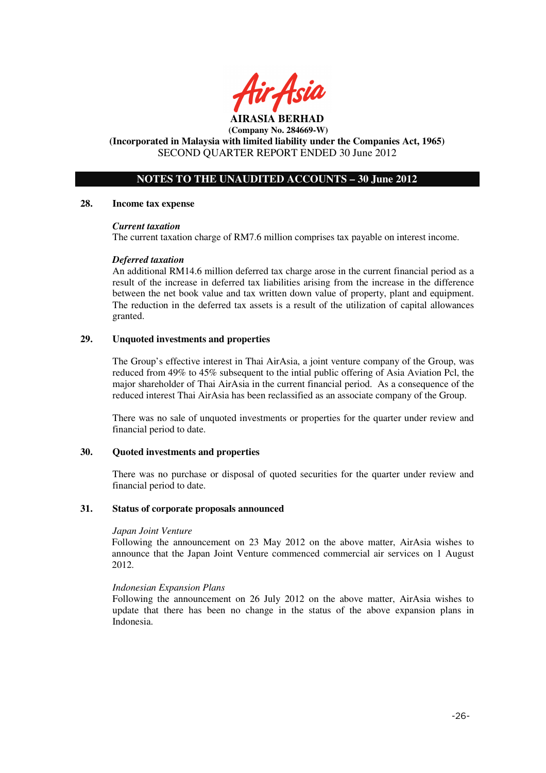

**AIRASIA BERHAD (Company No. 284669-W)** 

## **(Incorporated in Malaysia with limited liability under the Companies Act, 1965)**  SECOND QUARTER REPORT ENDED 30 June 2012

## **NOTES TO THE UNAUDITED ACCOUNTS – 30 June 2012**

#### **28. Income tax expense**

#### *Current taxation*

The current taxation charge of RM7.6 million comprises tax payable on interest income.

## *Deferred taxation*

An additional RM14.6 million deferred tax charge arose in the current financial period as a result of the increase in deferred tax liabilities arising from the increase in the difference between the net book value and tax written down value of property, plant and equipment. The reduction in the deferred tax assets is a result of the utilization of capital allowances granted.

#### **29. Unquoted investments and properties**

The Group's effective interest in Thai AirAsia, a joint venture company of the Group, was reduced from 49% to 45% subsequent to the intial public offering of Asia Aviation Pcl, the major shareholder of Thai AirAsia in the current financial period. As a consequence of the reduced interest Thai AirAsia has been reclassified as an associate company of the Group.

There was no sale of unquoted investments or properties for the quarter under review and financial period to date.

#### **30. Quoted investments and properties**

There was no purchase or disposal of quoted securities for the quarter under review and financial period to date.

#### **31. Status of corporate proposals announced**

#### *Japan Joint Venture*

Following the announcement on 23 May 2012 on the above matter, AirAsia wishes to announce that the Japan Joint Venture commenced commercial air services on 1 August 2012.

#### *Indonesian Expansion Plans*

Following the announcement on 26 July 2012 on the above matter, AirAsia wishes to update that there has been no change in the status of the above expansion plans in Indonesia.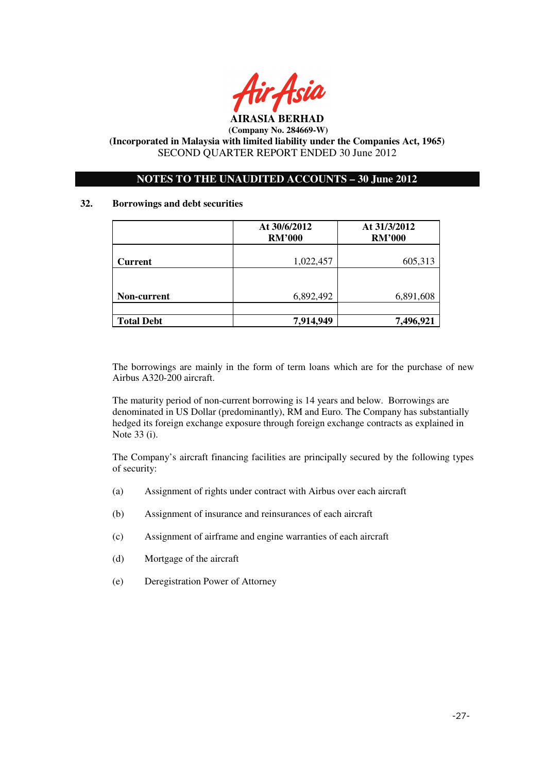

## **NOTES TO THE UNAUDITED ACCOUNTS – 30 June 2012**

## **32. Borrowings and debt securities**

|                   | At 30/6/2012<br><b>RM'000</b> | At 31/3/2012<br><b>RM'000</b> |
|-------------------|-------------------------------|-------------------------------|
| <b>Current</b>    | 1,022,457                     | 605,313                       |
|                   |                               |                               |
| Non-current       | 6,892,492                     | 6,891,608                     |
| <b>Total Debt</b> | 7,914,949                     | 7,496,921                     |

The borrowings are mainly in the form of term loans which are for the purchase of new Airbus A320-200 aircraft.

The maturity period of non-current borrowing is 14 years and below. Borrowings are denominated in US Dollar (predominantly), RM and Euro. The Company has substantially hedged its foreign exchange exposure through foreign exchange contracts as explained in Note 33 (i).

The Company's aircraft financing facilities are principally secured by the following types of security:

- (a) Assignment of rights under contract with Airbus over each aircraft
- (b) Assignment of insurance and reinsurances of each aircraft
- (c) Assignment of airframe and engine warranties of each aircraft
- (d) Mortgage of the aircraft
- (e) Deregistration Power of Attorney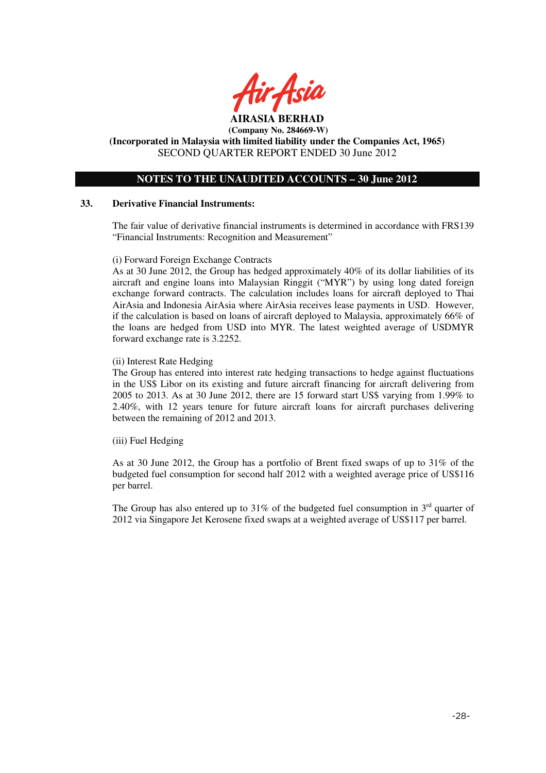

**AIRASIA BERHAD (Company No. 284669-W)** 

**(Incorporated in Malaysia with limited liability under the Companies Act, 1965)**  SECOND QUARTER REPORT ENDED 30 June 2012

## **NOTES TO THE UNAUDITED ACCOUNTS – 30 June 2012**

#### **33. Derivative Financial Instruments:**

The fair value of derivative financial instruments is determined in accordance with FRS139 "Financial Instruments: Recognition and Measurement"

(i) Forward Foreign Exchange Contracts

As at 30 June 2012, the Group has hedged approximately 40% of its dollar liabilities of its aircraft and engine loans into Malaysian Ringgit ("MYR") by using long dated foreign exchange forward contracts. The calculation includes loans for aircraft deployed to Thai AirAsia and Indonesia AirAsia where AirAsia receives lease payments in USD. However, if the calculation is based on loans of aircraft deployed to Malaysia, approximately 66% of the loans are hedged from USD into MYR. The latest weighted average of USDMYR forward exchange rate is 3.2252.

#### (ii) Interest Rate Hedging

The Group has entered into interest rate hedging transactions to hedge against fluctuations in the US\$ Libor on its existing and future aircraft financing for aircraft delivering from 2005 to 2013. As at 30 June 2012, there are 15 forward start US\$ varying from 1.99% to 2.40%, with 12 years tenure for future aircraft loans for aircraft purchases delivering between the remaining of 2012 and 2013.

(iii) Fuel Hedging

As at 30 June 2012, the Group has a portfolio of Brent fixed swaps of up to 31% of the budgeted fuel consumption for second half 2012 with a weighted average price of US\$116 per barrel.

The Group has also entered up to 31% of the budgeted fuel consumption in  $3<sup>rd</sup>$  quarter of 2012 via Singapore Jet Kerosene fixed swaps at a weighted average of US\$117 per barrel.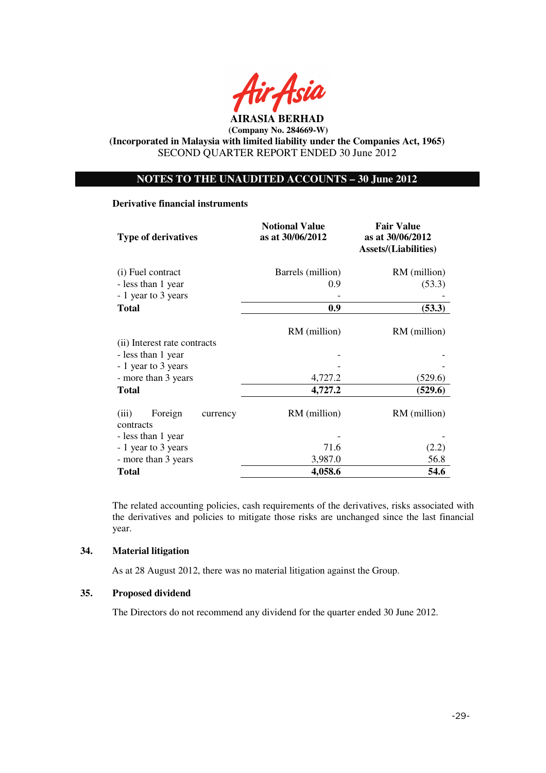

**AIRASIA BERHAD (Company No. 284669-W)** 

**(Incorporated in Malaysia with limited liability under the Companies Act, 1965)**  SECOND QUARTER REPORT ENDED 30 June 2012

## **NOTES TO THE UNAUDITED ACCOUNTS – 30 June 2012**

#### **Derivative financial instruments**

| <b>Type of derivatives</b>                | <b>Notional Value</b><br>as at 30/06/2012 | <b>Fair Value</b><br>as at 30/06/2012<br><b>Assets/(Liabilities)</b> |  |
|-------------------------------------------|-------------------------------------------|----------------------------------------------------------------------|--|
| (i) Fuel contract                         | Barrels (million)                         | RM (million)                                                         |  |
| - less than 1 year                        | 0.9                                       | (53.3)                                                               |  |
| - 1 year to 3 years                       |                                           |                                                                      |  |
| <b>Total</b>                              | 0.9                                       | (53.3)                                                               |  |
|                                           | RM (million)                              | RM (million)                                                         |  |
| (ii) Interest rate contracts              |                                           |                                                                      |  |
| - less than 1 year                        |                                           |                                                                      |  |
| - 1 year to 3 years                       |                                           |                                                                      |  |
| - more than 3 years                       | 4,727.2                                   | (529.6)                                                              |  |
| <b>Total</b>                              | 4,727.2                                   | (529.6)                                                              |  |
| Foreign<br>(iii)<br>currency<br>contracts | RM (million)                              | RM (million)                                                         |  |
| - less than 1 year                        |                                           |                                                                      |  |
| - 1 year to 3 years                       | 71.6                                      | (2.2)                                                                |  |
| - more than 3 years                       | 3,987.0                                   | 56.8                                                                 |  |
| <b>Total</b>                              | 4,058.6                                   | 54.6                                                                 |  |

The related accounting policies, cash requirements of the derivatives, risks associated with the derivatives and policies to mitigate those risks are unchanged since the last financial year.

## **34. Material litigation**

As at 28 August 2012, there was no material litigation against the Group.

## **35. Proposed dividend**

The Directors do not recommend any dividend for the quarter ended 30 June 2012.